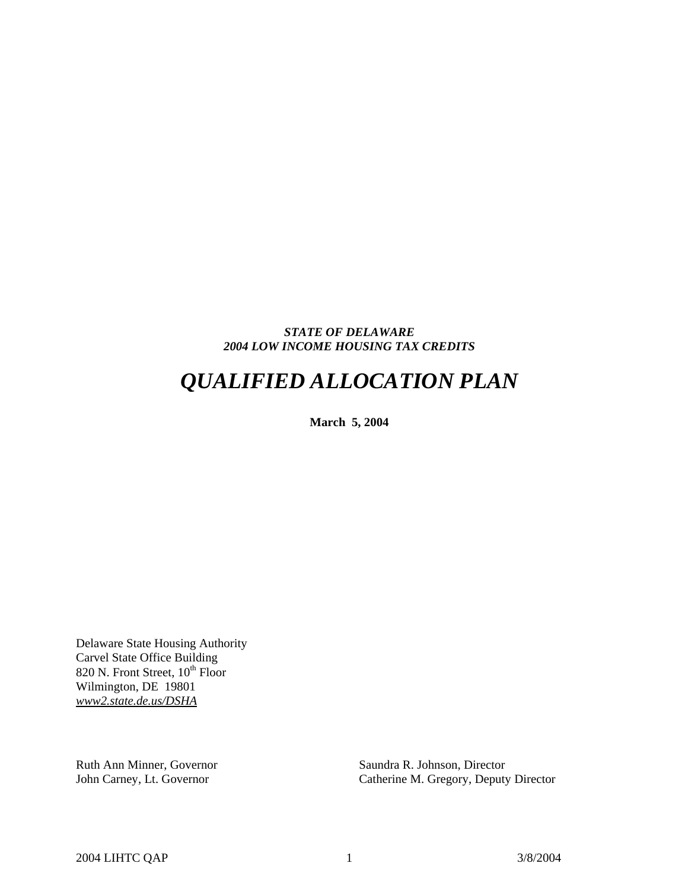# *STATE OF DELAWARE 2004 LOW INCOME HOUSING TAX CREDITS*

# *QUALIFIED ALLOCATION PLAN*

**March 5, 2004** 

Delaware State Housing Authority Carvel State Office Building 820 N. Front Street,  $10^{th}$  Floor Wilmington, DE 19801 *www2.state.de.us/DSHA*

Ruth Ann Minner, Governor Saundra R. Johnson, Director

John Carney, Lt. Governor Catherine M. Gregory, Deputy Director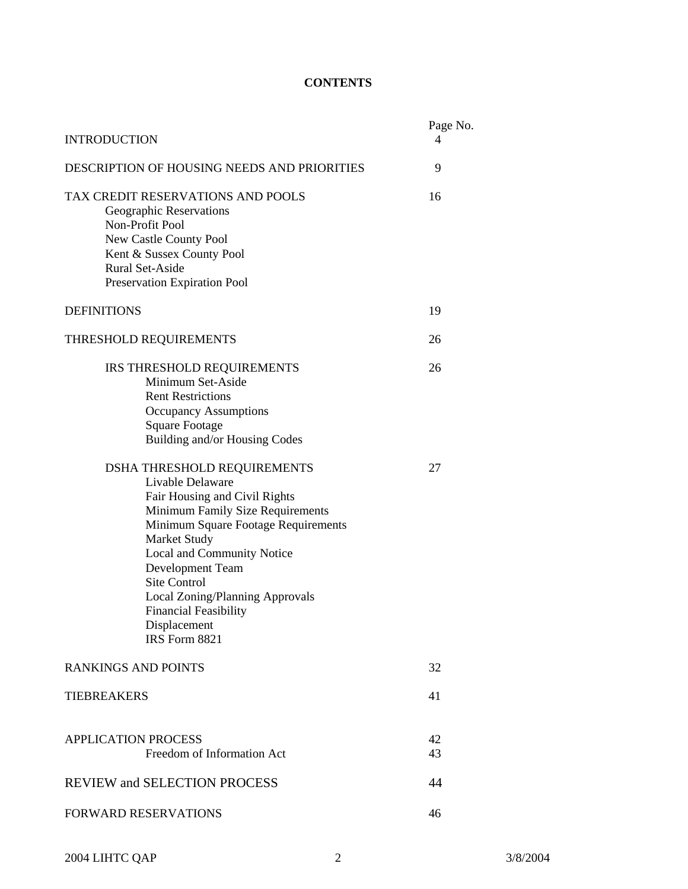# **CONTENTS**

| <b>INTRODUCTION</b>                                                                                                                                                                                                                                                                                                                                      | Page No.<br>4 |
|----------------------------------------------------------------------------------------------------------------------------------------------------------------------------------------------------------------------------------------------------------------------------------------------------------------------------------------------------------|---------------|
| DESCRIPTION OF HOUSING NEEDS AND PRIORITIES                                                                                                                                                                                                                                                                                                              | 9             |
| TAX CREDIT RESERVATIONS AND POOLS<br>Geographic Reservations<br>Non-Profit Pool<br>New Castle County Pool<br>Kent & Sussex County Pool<br><b>Rural Set-Aside</b><br><b>Preservation Expiration Pool</b>                                                                                                                                                  | 16            |
| <b>DEFINITIONS</b>                                                                                                                                                                                                                                                                                                                                       | 19            |
| THRESHOLD REQUIREMENTS                                                                                                                                                                                                                                                                                                                                   | 26            |
| IRS THRESHOLD REQUIREMENTS<br>Minimum Set-Aside<br><b>Rent Restrictions</b><br><b>Occupancy Assumptions</b><br><b>Square Footage</b><br>Building and/or Housing Codes                                                                                                                                                                                    | 26            |
| DSHA THRESHOLD REQUIREMENTS<br>Livable Delaware<br>Fair Housing and Civil Rights<br>Minimum Family Size Requirements<br>Minimum Square Footage Requirements<br>Market Study<br>Local and Community Notice<br>Development Team<br><b>Site Control</b><br>Local Zoning/Planning Approvals<br><b>Financial Feasibility</b><br>Displacement<br>IRS Form 8821 | 27            |
| <b>RANKINGS AND POINTS</b>                                                                                                                                                                                                                                                                                                                               | 32            |
| <b>TIEBREAKERS</b>                                                                                                                                                                                                                                                                                                                                       | 41            |
| <b>APPLICATION PROCESS</b><br>Freedom of Information Act                                                                                                                                                                                                                                                                                                 | 42<br>43      |
| <b>REVIEW and SELECTION PROCESS</b>                                                                                                                                                                                                                                                                                                                      | 44            |
| <b>FORWARD RESERVATIONS</b>                                                                                                                                                                                                                                                                                                                              | 46            |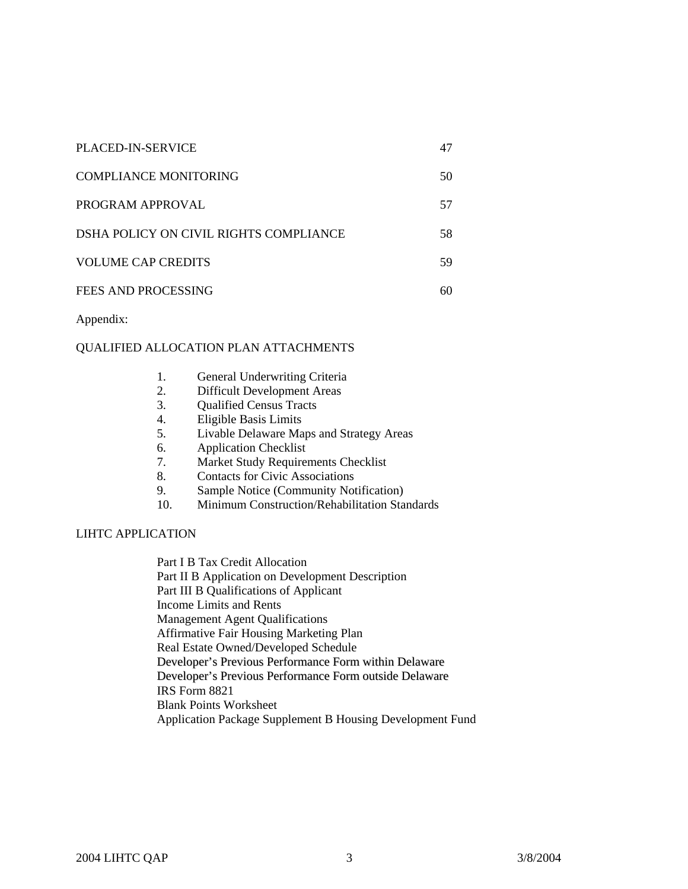| PLACED-IN-SERVICE                      | 47  |
|----------------------------------------|-----|
| COMPLIANCE MONITORING                  | 50  |
| PROGRAM APPROVAL                       | 57  |
| DSHA POLICY ON CIVIL RIGHTS COMPLIANCE | 58. |
| <b>VOLUME CAP CREDITS</b>              | 59  |
| FEES AND PROCESSING                    | 60  |

Appendix:

# QUALIFIED ALLOCATION PLAN ATTACHMENTS

| -1. |  | General Underwriting Criteria |  |
|-----|--|-------------------------------|--|
|-----|--|-------------------------------|--|

- 2. Difficult Development Areas
- 3. Qualified Census Tracts
- 4. Eligible Basis Limits
- 5. Livable Delaware Maps and Strategy Areas
- 6. Application Checklist
- 7. Market Study Requirements Checklist
- 8. Contacts for Civic Associations
- 9. Sample Notice (Community Notification)
- 10. Minimum Construction/Rehabilitation Standards

# LIHTC APPLICATION

Part I B Tax Credit Allocation Part II B Application on Development Description Part III B Qualifications of Applicant Income Limits and Rents Management Agent Qualifications Affirmative Fair Housing Marketing Plan Real Estate Owned/Developed Schedule Developer's Previous Performance Form within Delaware Developer's Previous Performance Form outside Delaware IRS Form 8821 Blank Points Worksheet Application Package Supplement B Housing Development Fund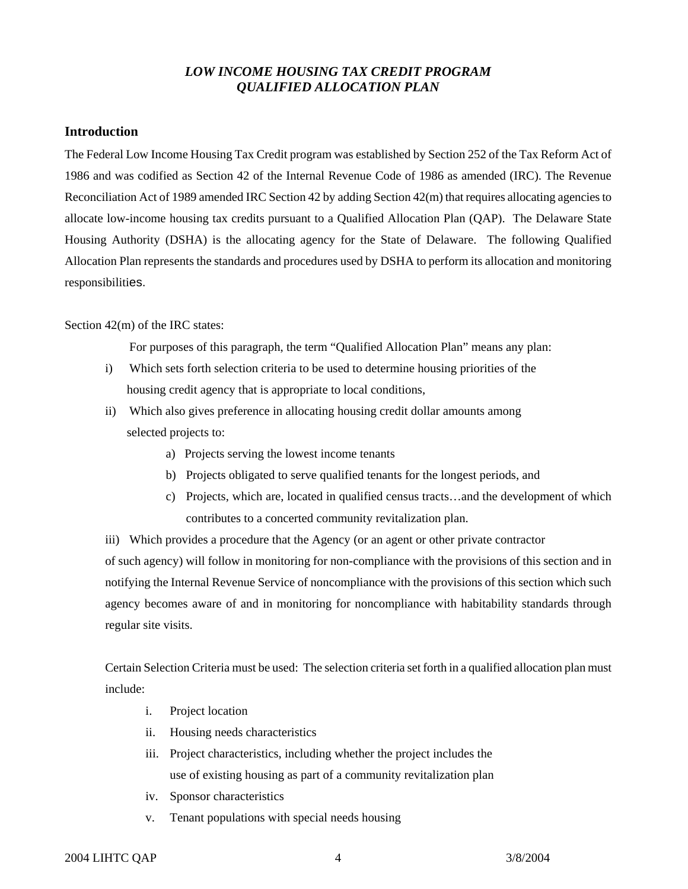# *LOW INCOME HOUSING TAX CREDIT PROGRAM QUALIFIED ALLOCATION PLAN*

# **Introduction**

The Federal Low Income Housing Tax Credit program was established by Section 252 of the Tax Reform Act of 1986 and was codified as Section 42 of the Internal Revenue Code of 1986 as amended (IRC). The Revenue Reconciliation Act of 1989 amended IRC Section 42 by adding Section 42(m) that requires allocating agencies to allocate low-income housing tax credits pursuant to a Qualified Allocation Plan (QAP). The Delaware State Housing Authority (DSHA) is the allocating agency for the State of Delaware. The following Qualified Allocation Plan represents the standards and procedures used by DSHA to perform its allocation and monitoring responsibilities.

# Section 42(m) of the IRC states:

For purposes of this paragraph, the term "Qualified Allocation Plan" means any plan:

- i) Which sets forth selection criteria to be used to determine housing priorities of the housing credit agency that is appropriate to local conditions,
- ii) Which also gives preference in allocating housing credit dollar amounts among selected projects to:
	- a) Projects serving the lowest income tenants
	- b) Projects obligated to serve qualified tenants for the longest periods, and
	- c) Projects, which are, located in qualified census tracts…and the development of which contributes to a concerted community revitalization plan.

iii) Which provides a procedure that the Agency (or an agent or other private contractor of such agency) will follow in monitoring for non-compliance with the provisions of this section and in notifying the Internal Revenue Service of noncompliance with the provisions of this section which such agency becomes aware of and in monitoring for noncompliance with habitability standards through regular site visits.

Certain Selection Criteria must be used: The selection criteria set forth in a qualified allocation plan must include:

- i. Project location
- ii. Housing needs characteristics
- iii. Project characteristics, including whether the project includes the use of existing housing as part of a community revitalization plan
- iv. Sponsor characteristics
- v. Tenant populations with special needs housing

# 2004 LIHTC QAP 4 3/8/2004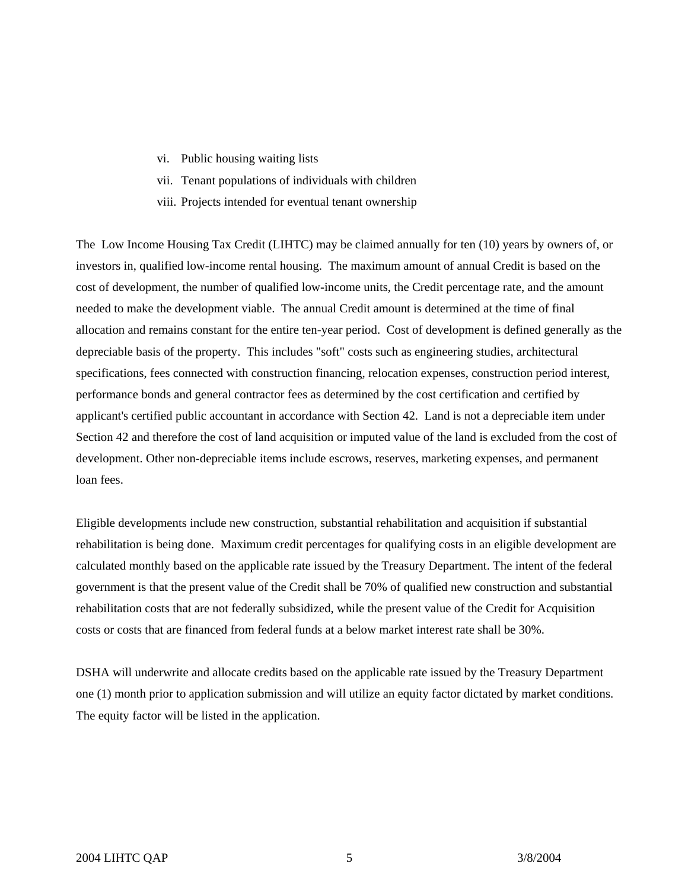- vi. Public housing waiting lists
- vii. Tenant populations of individuals with children
- viii. Projects intended for eventual tenant ownership

The Low Income Housing Tax Credit (LIHTC) may be claimed annually for ten (10) years by owners of, or investors in, qualified low-income rental housing. The maximum amount of annual Credit is based on the cost of development, the number of qualified low-income units, the Credit percentage rate, and the amount needed to make the development viable. The annual Credit amount is determined at the time of final allocation and remains constant for the entire ten-year period. Cost of development is defined generally as the depreciable basis of the property. This includes "soft" costs such as engineering studies, architectural specifications, fees connected with construction financing, relocation expenses, construction period interest, performance bonds and general contractor fees as determined by the cost certification and certified by applicant's certified public accountant in accordance with Section 42. Land is not a depreciable item under Section 42 and therefore the cost of land acquisition or imputed value of the land is excluded from the cost of development. Other non-depreciable items include escrows, reserves, marketing expenses, and permanent loan fees.

Eligible developments include new construction, substantial rehabilitation and acquisition if substantial rehabilitation is being done. Maximum credit percentages for qualifying costs in an eligible development are calculated monthly based on the applicable rate issued by the Treasury Department. The intent of the federal government is that the present value of the Credit shall be 70% of qualified new construction and substantial rehabilitation costs that are not federally subsidized, while the present value of the Credit for Acquisition costs or costs that are financed from federal funds at a below market interest rate shall be 30%.

DSHA will underwrite and allocate credits based on the applicable rate issued by the Treasury Department one (1) month prior to application submission and will utilize an equity factor dictated by market conditions. The equity factor will be listed in the application.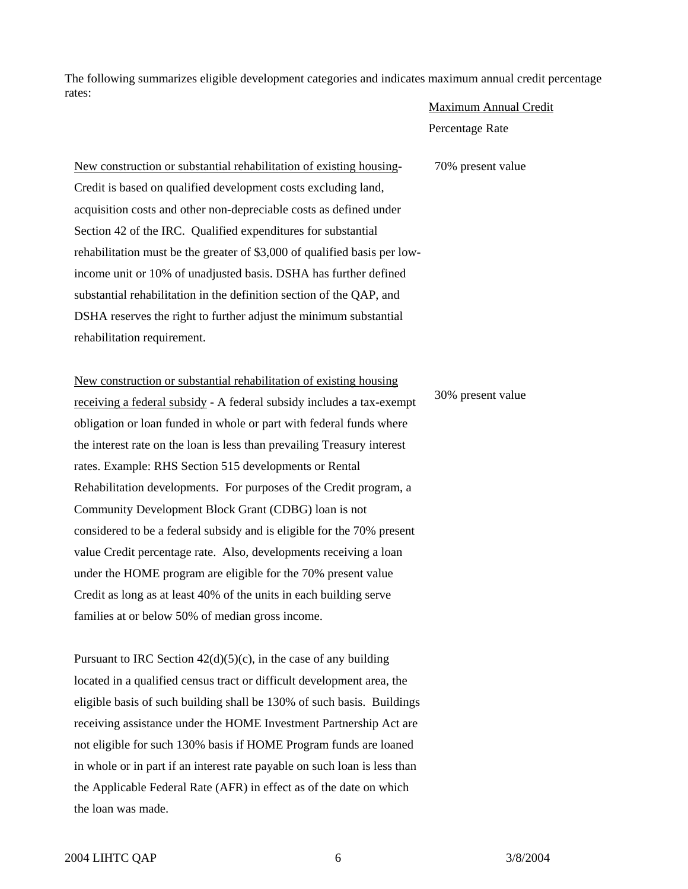The following summarizes eligible development categories and indicates maximum annual credit percentage rates:

#### Maximum Annual Credit

Percentage Rate

70% present value

New construction or substantial rehabilitation of existing housing-Credit is based on qualified development costs excluding land, acquisition costs and other non-depreciable costs as defined under Section 42 of the IRC. Qualified expenditures for substantial rehabilitation must be the greater of \$3,000 of qualified basis per lowincome unit or 10% of unadjusted basis. DSHA has further defined substantial rehabilitation in the definition section of the QAP, and DSHA reserves the right to further adjust the minimum substantial rehabilitation requirement.

New construction or substantial rehabilitation of existing housing receiving a federal subsidy - A federal subsidy includes a tax-exempt obligation or loan funded in whole or part with federal funds where the interest rate on the loan is less than prevailing Treasury interest rates. Example: RHS Section 515 developments or Rental Rehabilitation developments. For purposes of the Credit program, a Community Development Block Grant (CDBG) loan is not considered to be a federal subsidy and is eligible for the 70% present value Credit percentage rate. Also, developments receiving a loan under the HOME program are eligible for the 70% present value Credit as long as at least 40% of the units in each building serve families at or below 50% of median gross income.

Pursuant to IRC Section  $42(d)(5)(c)$ , in the case of any building located in a qualified census tract or difficult development area, the eligible basis of such building shall be 130% of such basis. Buildings receiving assistance under the HOME Investment Partnership Act are not eligible for such 130% basis if HOME Program funds are loaned in whole or in part if an interest rate payable on such loan is less than the Applicable Federal Rate (AFR) in effect as of the date on which the loan was made.

#### 30% present value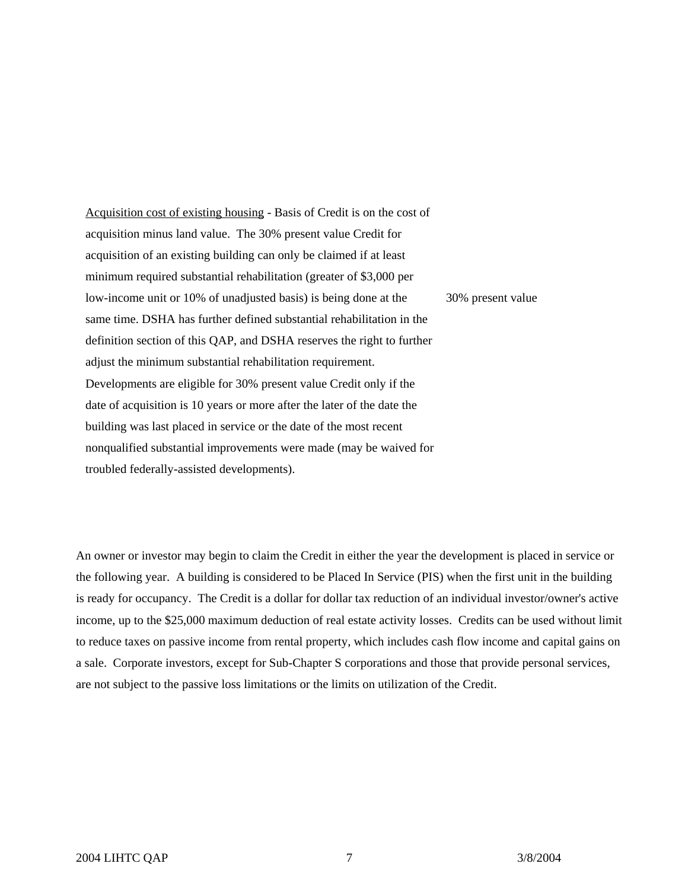Acquisition cost of existing housing - Basis of Credit is on the cost of acquisition minus land value. The 30% present value Credit for acquisition of an existing building can only be claimed if at least minimum required substantial rehabilitation (greater of \$3,000 per low-income unit or 10% of unadjusted basis) is being done at the same time. DSHA has further defined substantial rehabilitation in the definition section of this QAP, and DSHA reserves the right to further adjust the minimum substantial rehabilitation requirement. Developments are eligible for 30% present value Credit only if the date of acquisition is 10 years or more after the later of the date the building was last placed in service or the date of the most recent nonqualified substantial improvements were made (may be waived for troubled federally-assisted developments). 30% present value

An owner or investor may begin to claim the Credit in either the year the development is placed in service or the following year. A building is considered to be Placed In Service (PIS) when the first unit in the building is ready for occupancy. The Credit is a dollar for dollar tax reduction of an individual investor/owner's active income, up to the \$25,000 maximum deduction of real estate activity losses. Credits can be used without limit to reduce taxes on passive income from rental property, which includes cash flow income and capital gains on a sale. Corporate investors, except for Sub-Chapter S corporations and those that provide personal services, are not subject to the passive loss limitations or the limits on utilization of the Credit.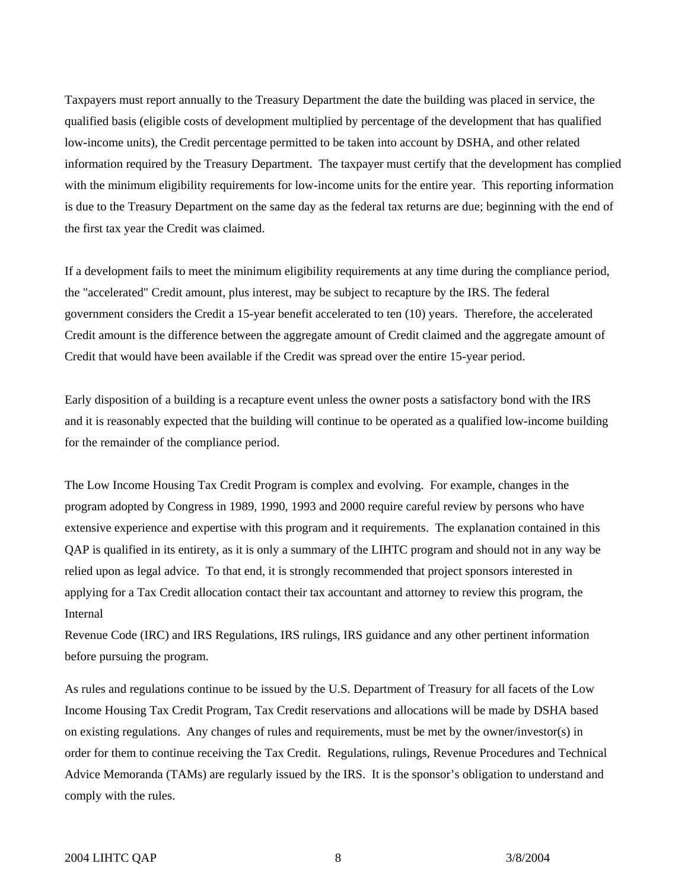Taxpayers must report annually to the Treasury Department the date the building was placed in service, the qualified basis (eligible costs of development multiplied by percentage of the development that has qualified low-income units), the Credit percentage permitted to be taken into account by DSHA, and other related information required by the Treasury Department. The taxpayer must certify that the development has complied with the minimum eligibility requirements for low-income units for the entire year. This reporting information is due to the Treasury Department on the same day as the federal tax returns are due; beginning with the end of the first tax year the Credit was claimed.

If a development fails to meet the minimum eligibility requirements at any time during the compliance period, the "accelerated" Credit amount, plus interest, may be subject to recapture by the IRS. The federal government considers the Credit a 15-year benefit accelerated to ten (10) years. Therefore, the accelerated Credit amount is the difference between the aggregate amount of Credit claimed and the aggregate amount of Credit that would have been available if the Credit was spread over the entire 15-year period.

Early disposition of a building is a recapture event unless the owner posts a satisfactory bond with the IRS and it is reasonably expected that the building will continue to be operated as a qualified low-income building for the remainder of the compliance period.

The Low Income Housing Tax Credit Program is complex and evolving. For example, changes in the program adopted by Congress in 1989, 1990, 1993 and 2000 require careful review by persons who have extensive experience and expertise with this program and it requirements. The explanation contained in this QAP is qualified in its entirety, as it is only a summary of the LIHTC program and should not in any way be relied upon as legal advice. To that end, it is strongly recommended that project sponsors interested in applying for a Tax Credit allocation contact their tax accountant and attorney to review this program, the Internal

Revenue Code (IRC) and IRS Regulations, IRS rulings, IRS guidance and any other pertinent information before pursuing the program.

As rules and regulations continue to be issued by the U.S. Department of Treasury for all facets of the Low Income Housing Tax Credit Program, Tax Credit reservations and allocations will be made by DSHA based on existing regulations. Any changes of rules and requirements, must be met by the owner/investor(s) in order for them to continue receiving the Tax Credit. Regulations, rulings, Revenue Procedures and Technical Advice Memoranda (TAMs) are regularly issued by the IRS. It is the sponsor's obligation to understand and comply with the rules.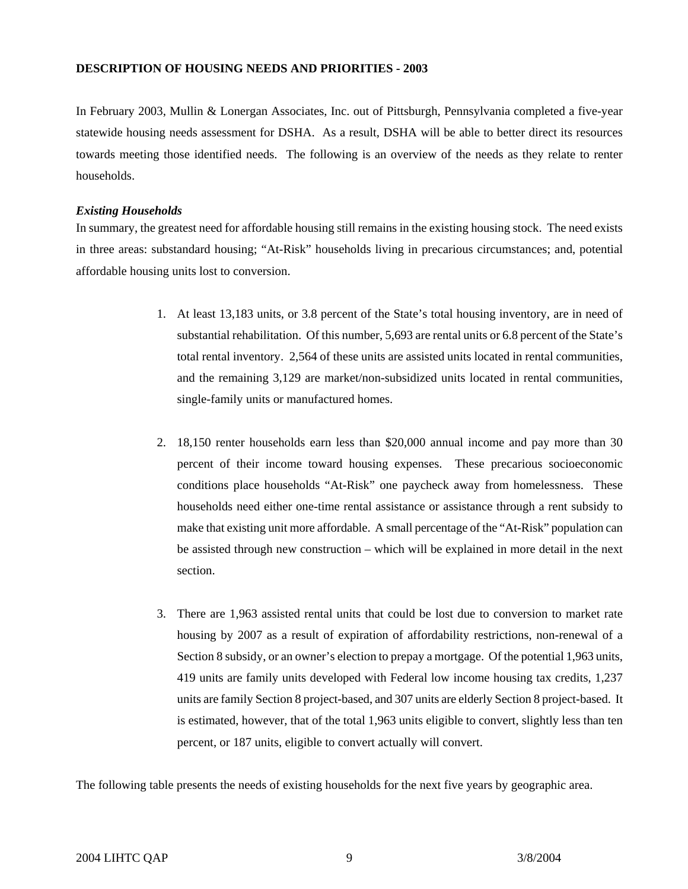# **DESCRIPTION OF HOUSING NEEDS AND PRIORITIES - 2003**

In February 2003, Mullin & Lonergan Associates, Inc. out of Pittsburgh, Pennsylvania completed a five-year statewide housing needs assessment for DSHA. As a result, DSHA will be able to better direct its resources towards meeting those identified needs. The following is an overview of the needs as they relate to renter households.

# *Existing Households*

In summary, the greatest need for affordable housing still remains in the existing housing stock. The need exists in three areas: substandard housing; "At-Risk" households living in precarious circumstances; and, potential affordable housing units lost to conversion.

- 1. At least 13,183 units, or 3.8 percent of the State's total housing inventory, are in need of substantial rehabilitation. Of this number, 5,693 are rental units or 6.8 percent of the State's total rental inventory. 2,564 of these units are assisted units located in rental communities, and the remaining 3,129 are market/non-subsidized units located in rental communities, single-family units or manufactured homes.
- 2. 18,150 renter households earn less than \$20,000 annual income and pay more than 30 percent of their income toward housing expenses. These precarious socioeconomic conditions place households "At-Risk" one paycheck away from homelessness. These households need either one-time rental assistance or assistance through a rent subsidy to make that existing unit more affordable. A small percentage of the "At-Risk" population can be assisted through new construction – which will be explained in more detail in the next section.
- 3. There are 1,963 assisted rental units that could be lost due to conversion to market rate housing by 2007 as a result of expiration of affordability restrictions, non-renewal of a Section 8 subsidy, or an owner's election to prepay a mortgage. Of the potential 1,963 units, 419 units are family units developed with Federal low income housing tax credits, 1,237 units are family Section 8 project-based, and 307 units are elderly Section 8 project-based. It is estimated, however, that of the total 1,963 units eligible to convert, slightly less than ten percent, or 187 units, eligible to convert actually will convert.

The following table presents the needs of existing households for the next five years by geographic area.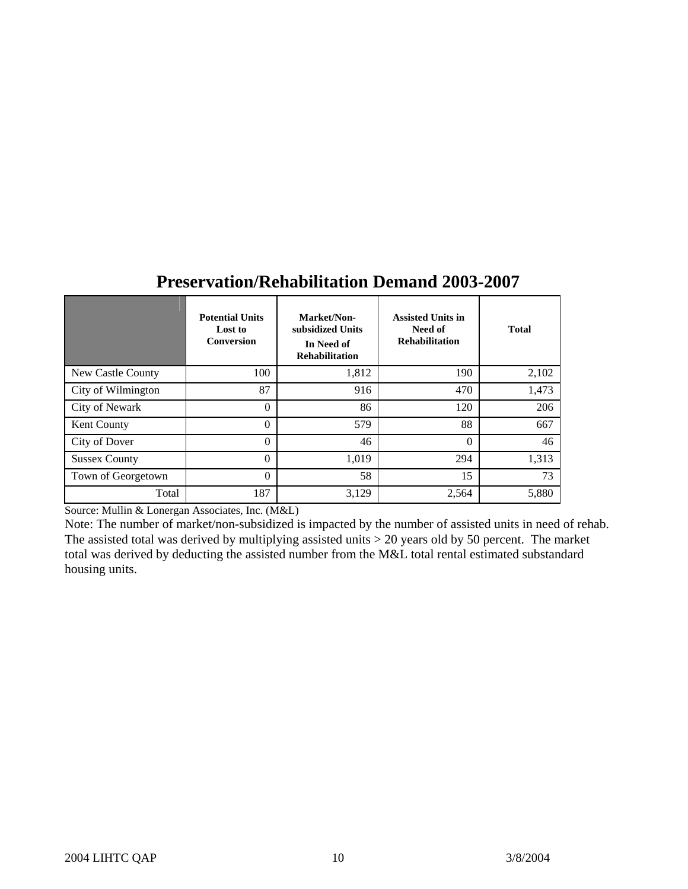|                      | <b>Potential Units</b><br>Lost to<br><b>Conversion</b> | Market/Non-<br>subsidized Units<br>In Need of<br><b>Rehabilitation</b> | <b>Assisted Units in</b><br>Need of<br><b>Rehabilitation</b> | <b>Total</b> |
|----------------------|--------------------------------------------------------|------------------------------------------------------------------------|--------------------------------------------------------------|--------------|
| New Castle County    | 100                                                    | 1,812                                                                  | 190                                                          | 2,102        |
| City of Wilmington   | 87                                                     | 916                                                                    | 470                                                          | 1,473        |
| City of Newark       | $\theta$                                               | 86                                                                     | 120                                                          | 206          |
| Kent County          | $\Omega$                                               | 579                                                                    | 88                                                           | 667          |
| City of Dover        | $\theta$                                               | 46                                                                     | $\Omega$                                                     | 46           |
| <b>Sussex County</b> | $\theta$                                               | 1,019                                                                  | 294                                                          | 1,313        |
| Town of Georgetown   | $\Omega$                                               | 58                                                                     | 15                                                           | 73           |
| Total                | 187                                                    | 3,129                                                                  | 2,564                                                        | 5,880        |

# **Preservation/Rehabilitation Demand 2003-2007**

Source: Mullin & Lonergan Associates, Inc. (M&L)

Note: The number of market/non-subsidized is impacted by the number of assisted units in need of rehab. The assisted total was derived by multiplying assisted units > 20 years old by 50 percent. The market total was derived by deducting the assisted number from the M&L total rental estimated substandard housing units.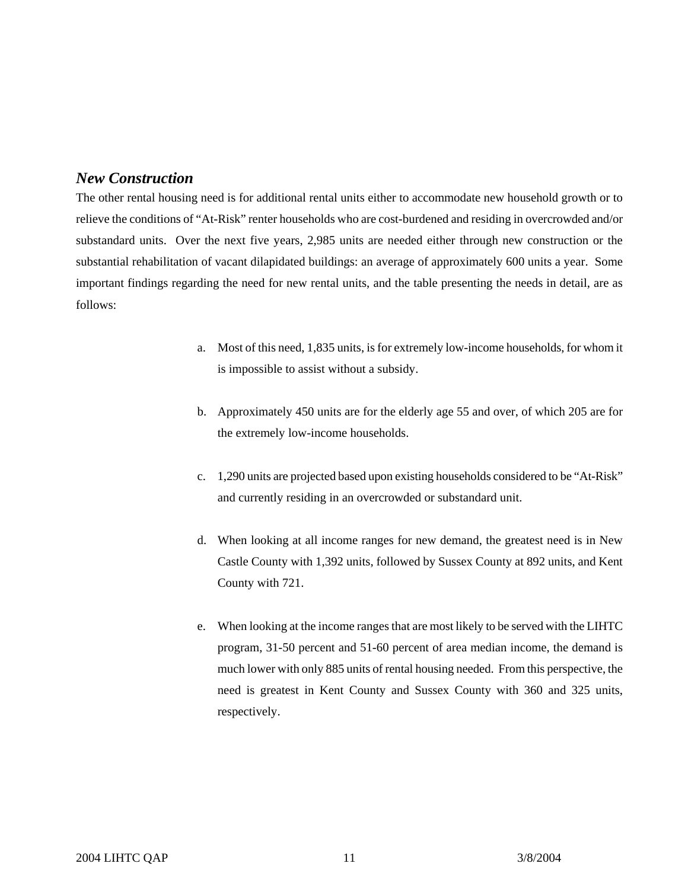# *New Construction*

The other rental housing need is for additional rental units either to accommodate new household growth or to relieve the conditions of "At-Risk" renter households who are cost-burdened and residing in overcrowded and/or substandard units. Over the next five years, 2,985 units are needed either through new construction or the substantial rehabilitation of vacant dilapidated buildings: an average of approximately 600 units a year. Some important findings regarding the need for new rental units, and the table presenting the needs in detail, are as follows:

- a. Most of this need, 1,835 units, is for extremely low-income households, for whom it is impossible to assist without a subsidy.
- b. Approximately 450 units are for the elderly age 55 and over, of which 205 are for the extremely low-income households.
- c. 1,290 units are projected based upon existing households considered to be "At-Risk" and currently residing in an overcrowded or substandard unit.
- d. When looking at all income ranges for new demand, the greatest need is in New Castle County with 1,392 units, followed by Sussex County at 892 units, and Kent County with 721.
- e. When looking at the income ranges that are most likely to be served with the LIHTC program, 31-50 percent and 51-60 percent of area median income, the demand is much lower with only 885 units of rental housing needed. From this perspective, the need is greatest in Kent County and Sussex County with 360 and 325 units, respectively.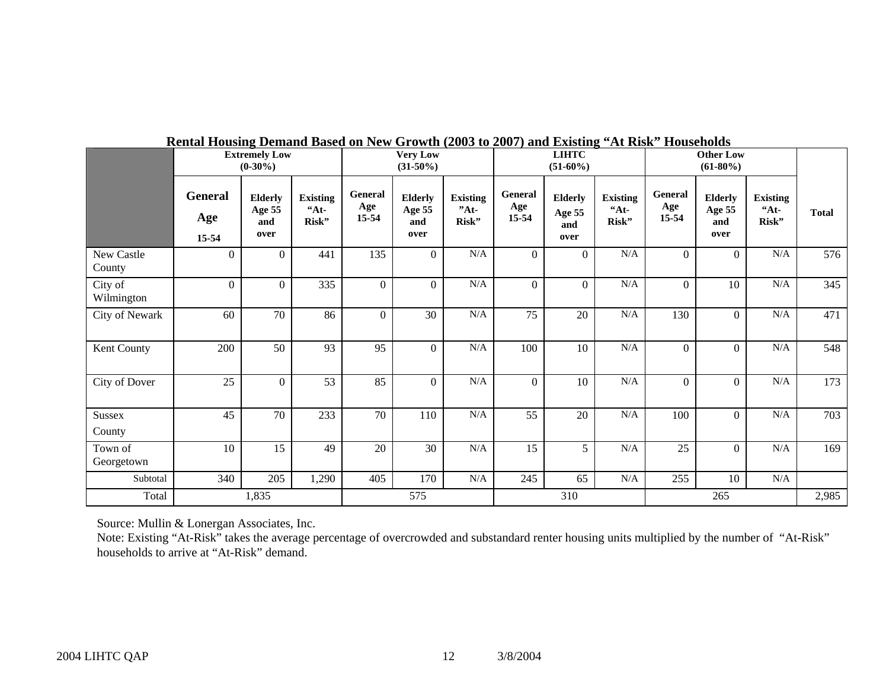|                       |                         | <b>Extremely Low</b><br>$(0-30\%)$      |                                   |                         | <b>Very Low</b><br>$(31-50\%)$          |                                    | <b>LIHTC</b><br>$(51-60\%)$ |                                         | <b>Other Low</b><br>$(61-80\%)$   |                         |                                         |                                     |              |
|-----------------------|-------------------------|-----------------------------------------|-----------------------------------|-------------------------|-----------------------------------------|------------------------------------|-----------------------------|-----------------------------------------|-----------------------------------|-------------------------|-----------------------------------------|-------------------------------------|--------------|
|                       | General<br>Age<br>15-54 | <b>Elderly</b><br>Age 55<br>and<br>over | <b>Existing</b><br>$A_t$<br>Risk" | General<br>Age<br>15-54 | <b>Elderly</b><br>Age 55<br>and<br>over | <b>Existing</b><br>$"At-$<br>Risk" | General<br>Age<br>$15 - 54$ | <b>Elderly</b><br>Age 55<br>and<br>over | <b>Existing</b><br>$A_t$<br>Risk" | General<br>Age<br>15-54 | <b>Elderly</b><br>Age 55<br>and<br>over | <b>Existing</b><br>$44t -$<br>Risk" | <b>Total</b> |
| New Castle<br>County  | $\overline{0}$          | $\Omega$                                | 441                               | 135                     | $\overline{0}$                          | $\rm N/A$                          | $\mathbf{0}$                | $\overline{0}$                          | $\rm N/A$                         | $\Omega$                | $\Omega$                                | $\rm N/A$                           | 576          |
| City of<br>Wilmington | $\overline{0}$          | $\overline{0}$                          | 335                               | $\mathbf{0}$            | $\overline{0}$                          | $\rm N/A$                          | $\overline{0}$              | $\Omega$                                | $\rm N/A$                         | $\overline{0}$          | 10                                      | N/A                                 | 345          |
| City of Newark        | 60                      | 70                                      | 86                                | $\theta$                | 30                                      | $\rm N/A$                          | 75                          | 20                                      | $\rm N/A$                         | 130                     | $\overline{0}$                          | N/A                                 | 471          |
| Kent County           | 200                     | 50                                      | 93                                | 95                      | $\overline{0}$                          | $\rm N/A$                          | 100                         | 10                                      | $\rm N/A$                         | $\overline{0}$          | $\overline{0}$                          | $\rm N/A$                           | 548          |
| City of Dover         | 25                      | $\overline{0}$                          | 53                                | 85                      | $\overline{0}$                          | $\rm N/A$                          | $\boldsymbol{0}$            | 10                                      | $\rm N/A$                         | $\overline{0}$          | $\overline{0}$                          | $\rm N/A$                           | 173          |
| Sussex<br>County      | 45                      | 70                                      | 233                               | 70                      | 110                                     | $\rm N/A$                          | 55                          | 20                                      | $\rm N/A$                         | 100                     | $\Omega$                                | N/A                                 | 703          |
| Town of<br>Georgetown | 10                      | 15                                      | 49                                | 20                      | 30                                      | $\rm N/A$                          | 15                          | 5                                       | $\rm N/A$                         | 25                      | $\Omega$                                | N/A                                 | 169          |
| Subtotal              | 340                     | 205                                     | 1,290                             | 405                     | 170                                     | N/A                                | 245                         | 65                                      | $\rm N/A$                         | 255                     | 10                                      | N/A                                 |              |
| Total                 |                         | 1,835                                   |                                   |                         | 575                                     |                                    |                             | 310                                     |                                   |                         | 265                                     |                                     | 2,985        |

# **Rental Housing Demand Based on New Growth (2003 to 2007) and Existing "At Risk" Households**

Source: Mullin & Lonergan Associates, Inc.

Note: Existing "At-Risk" takes the average percentage of overcrowded and substandard renter housing units multiplied by the number of "At-Risk" households to arrive at "At-Risk" demand.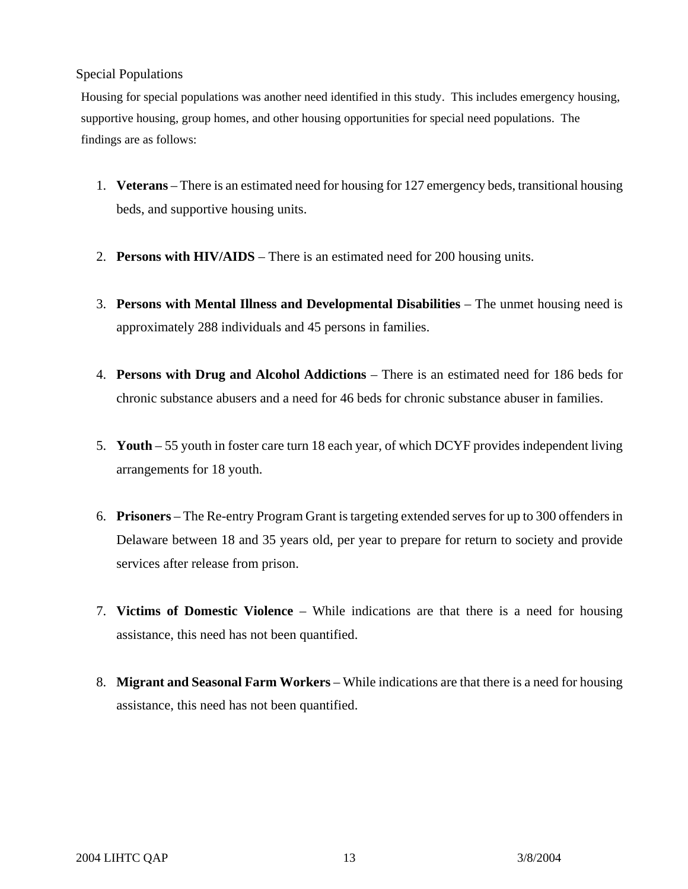# Special Populations

Housing for special populations was another need identified in this study. This includes emergency housing, supportive housing, group homes, and other housing opportunities for special need populations. The findings are as follows:

- 1. **Veterans** There is an estimated need for housing for 127 emergency beds, transitional housing beds, and supportive housing units.
- 2. **Persons with HIV/AIDS**  There is an estimated need for 200 housing units.
- 3. **Persons with Mental Illness and Developmental Disabilities**  The unmet housing need is approximately 288 individuals and 45 persons in families.
- 4. **Persons with Drug and Alcohol Addictions**  There is an estimated need for 186 beds for chronic substance abusers and a need for 46 beds for chronic substance abuser in families.
- 5. **Youth**  55 youth in foster care turn 18 each year, of which DCYF provides independent living arrangements for 18 youth.
- 6. **Prisoners**  The Re-entry Program Grant is targeting extended serves for up to 300 offenders in Delaware between 18 and 35 years old, per year to prepare for return to society and provide services after release from prison.
- 7. **Victims of Domestic Violence**  While indications are that there is a need for housing assistance, this need has not been quantified.
- 8. **Migrant and Seasonal Farm Workers** While indications are that there is a need for housing assistance, this need has not been quantified.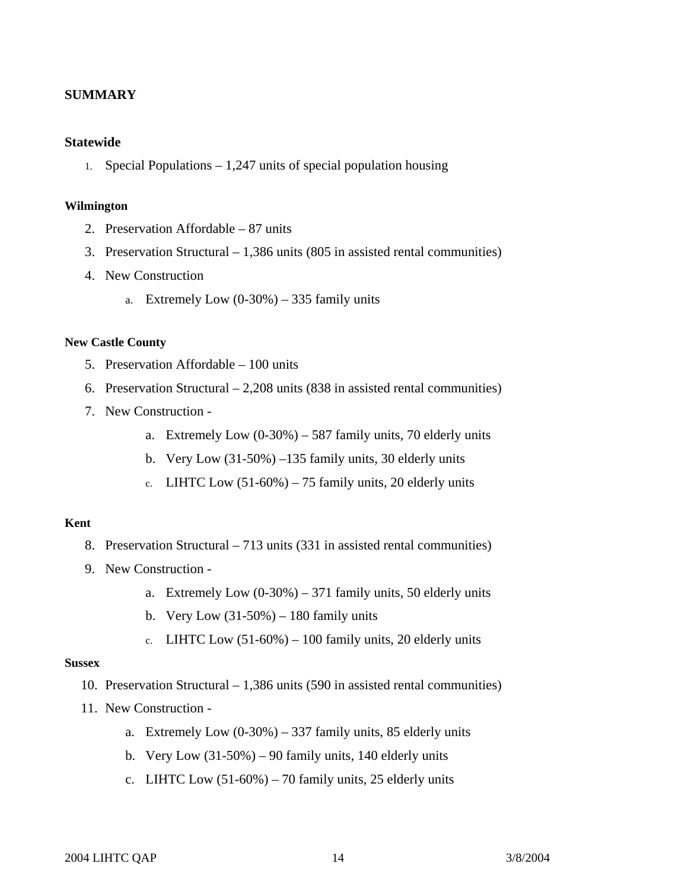# **SUMMARY**

# **Statewide**

1. Special Populations – 1,247 units of special population housing

#### **Wilmington**

- 2. Preservation Affordable 87 units
- 3. Preservation Structural 1,386 units (805 in assisted rental communities)
- 4. New Construction
	- a. Extremely Low  $(0-30\%) 335$  family units

# **New Castle County**

- 5. Preservation Affordable 100 units
- 6. Preservation Structural 2,208 units (838 in assisted rental communities)
- 7. New Construction
	- a. Extremely Low  $(0-30\%) 587$  family units, 70 elderly units
	- b. Very Low (31-50%) –135 family units, 30 elderly units
	- c. LIHTC Low  $(51-60\%)$  75 family units, 20 elderly units

# **Kent**

- 8. Preservation Structural 713 units (331 in assisted rental communities)
- 9. New Construction
	- a. Extremely Low  $(0-30\%) 371$  family units, 50 elderly units
	- b. Very Low  $(31-50\%) 180$  family units
	- c. LIHTC Low  $(51-60\%) 100$  family units, 20 elderly units

# **Sussex**

- 10. Preservation Structural 1,386 units (590 in assisted rental communities)
- 11. New Construction
	- a. Extremely Low  $(0-30\%) 337$  family units, 85 elderly units
	- b. Very Low  $(31-50\%) 90$  family units, 140 elderly units
	- c. LIHTC Low  $(51-60\%)$  70 family units, 25 elderly units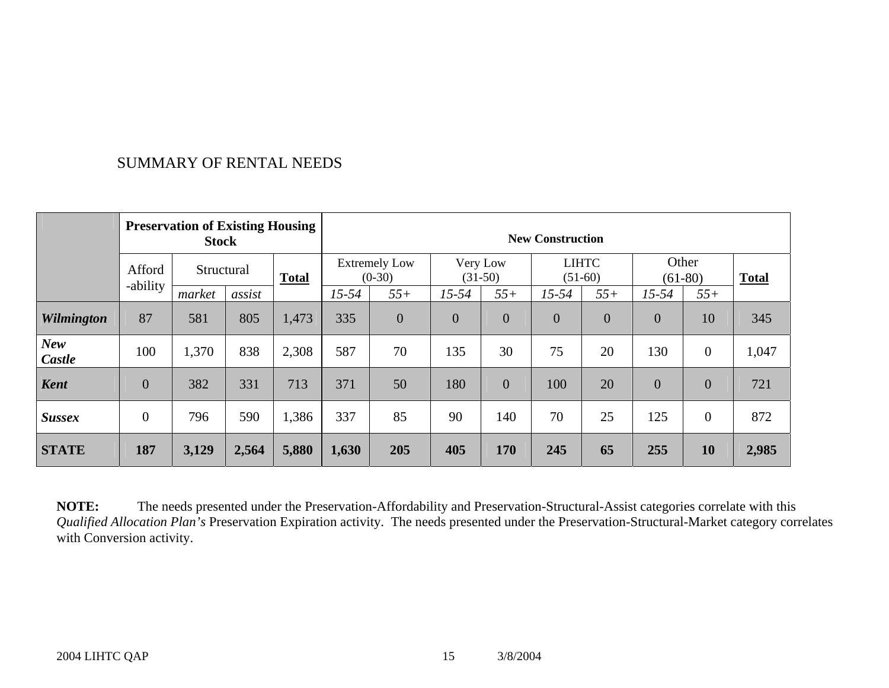# SUMMARY OF RENTAL NEEDS

|                      | <b>Preservation of Existing Housing</b><br><b>Stock</b> |            |        | <b>New Construction</b> |                                  |                |                       |                |                           |                |                    |                  |              |
|----------------------|---------------------------------------------------------|------------|--------|-------------------------|----------------------------------|----------------|-----------------------|----------------|---------------------------|----------------|--------------------|------------------|--------------|
|                      | Afford                                                  | Structural |        | <b>Total</b>            | <b>Extremely Low</b><br>$(0-30)$ |                | Very Low<br>$(31-50)$ |                | <b>LIHTC</b><br>$(51-60)$ |                | Other<br>$(61-80)$ |                  | <b>Total</b> |
|                      | -ability                                                | market     | assist |                         | $15 - 54$                        | $55+$          | $15 - 54$             | $55+$          | $15 - 54$                 | $55+$          | $15 - 54$          | $55+$            |              |
| <b>Wilmington</b>    | 87                                                      | 581        | 805    | 1,473                   | 335                              | $\overline{0}$ | $\overline{0}$        | $\overline{0}$ | $\overline{0}$            | $\overline{0}$ | $\overline{0}$     | 10               | 345          |
| <b>New</b><br>Castle | 100                                                     | 1,370      | 838    | 2,308                   | 587                              | 70             | 135                   | 30             | 75                        | 20             | 130                | $\boldsymbol{0}$ | 1,047        |
| <b>Kent</b>          | $\overline{0}$                                          | 382        | 331    | 713                     | 371                              | 50             | 180                   | $\overline{0}$ | 100                       | 20             | $\overline{0}$     | $\theta$         | 721          |
| <b>Sussex</b>        | $\overline{0}$                                          | 796        | 590    | 1,386                   | 337                              | 85             | 90                    | 140            | 70                        | 25             | 125                | $\overline{0}$   | 872          |
| <b>STATE</b>         | 187                                                     | 3,129      | 2,564  | 5,880                   | 1,630                            | 205            | 405                   | 170            | 245                       | 65             | 255                | 10               | 2,985        |

**NOTE:** The needs presented under the Preservation-Affordability and Preservation-Structural-Assist categories correlate with this *Qualified Allocation Plan's* Preservation Expiration activity. The needs presented under the Preservation-Structural-Market category correlates with Conversion activity.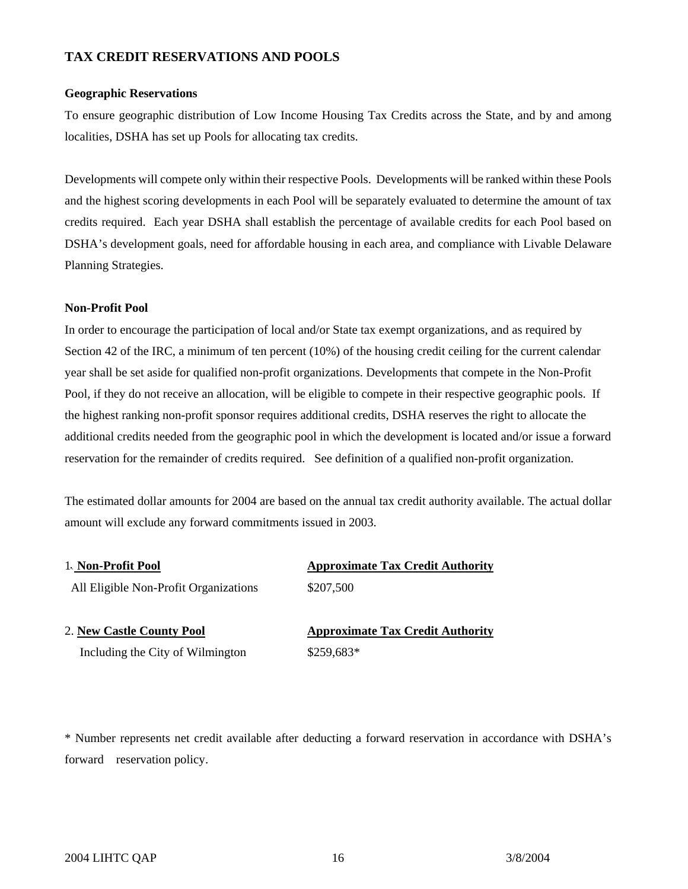# **TAX CREDIT RESERVATIONS AND POOLS**

#### **Geographic Reservations**

To ensure geographic distribution of Low Income Housing Tax Credits across the State, and by and among localities, DSHA has set up Pools for allocating tax credits.

Developments will compete only within their respective Pools. Developments will be ranked within these Pools and the highest scoring developments in each Pool will be separately evaluated to determine the amount of tax credits required. Each year DSHA shall establish the percentage of available credits for each Pool based on DSHA's development goals, need for affordable housing in each area, and compliance with Livable Delaware Planning Strategies.

# **Non-Profit Pool**

In order to encourage the participation of local and/or State tax exempt organizations, and as required by Section 42 of the IRC, a minimum of ten percent (10%) of the housing credit ceiling for the current calendar year shall be set aside for qualified non-profit organizations. Developments that compete in the Non-Profit Pool, if they do not receive an allocation, will be eligible to compete in their respective geographic pools. If the highest ranking non-profit sponsor requires additional credits, DSHA reserves the right to allocate the additional credits needed from the geographic pool in which the development is located and/or issue a forward reservation for the remainder of credits required. See definition of a qualified non-profit organization.

The estimated dollar amounts for 2004 are based on the annual tax credit authority available. The actual dollar amount will exclude any forward commitments issued in 2003.

| 1. Non-Profit Pool                    | <b>Approximate Tax Credit Authority</b> |
|---------------------------------------|-----------------------------------------|
| All Eligible Non-Profit Organizations | \$207,500                               |
| 2. New Castle County Pool             | <b>Approximate Tax Credit Authority</b> |
| Including the City of Wilmington      | $$259,683*$                             |

\* Number represents net credit available after deducting a forward reservation in accordance with DSHA's forward reservation policy.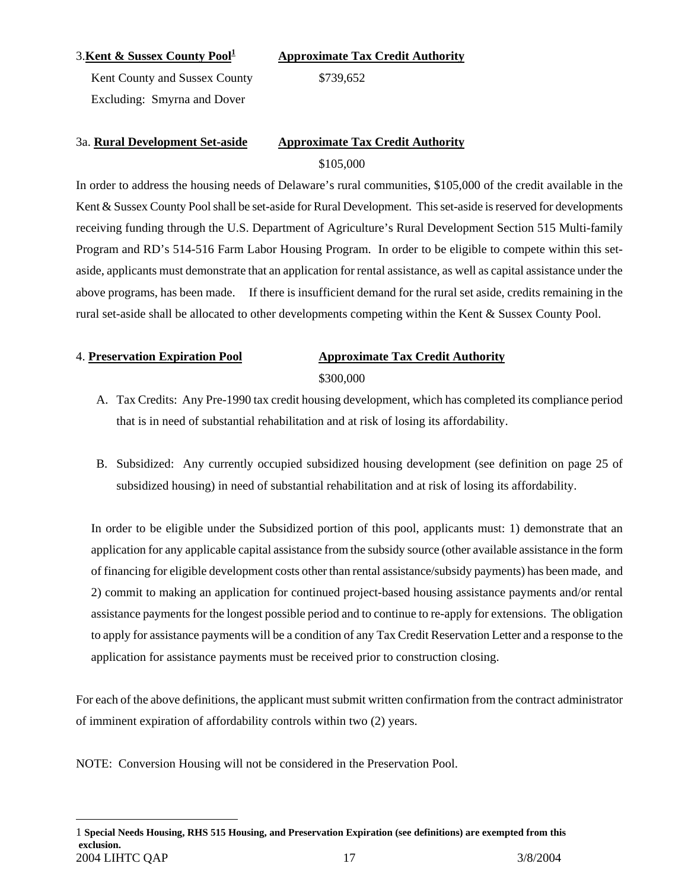## 3.Kent & Sussex County Pool<sup>1</sup>

**Approximate Tax Credit Authority**

Kent County and Sussex County \$739,652 Excluding: Smyrna and Dover

# 3a. **Rural Development Set-aside Approximate Tax Credit Authority** \$105,000

In order to address the housing needs of Delaware's rural communities, \$105,000 of the credit available in the Kent & Sussex County Pool shall be set-aside for Rural Development. This set-aside is reserved for developments receiving funding through the U.S. Department of Agriculture's Rural Development Section 515 Multi-family Program and RD's 514-516 Farm Labor Housing Program. In order to be eligible to compete within this setaside, applicants must demonstrate that an application for rental assistance, as well as capital assistance under the above programs, has been made. If there is insufficient demand for the rural set aside, credits remaining in the rural set-aside shall be allocated to other developments competing within the Kent & Sussex County Pool.

<span id="page-16-0"></span> $\overline{a}$ 

# 4. **Preservation Expiration Pool Approximate Tax Credit Authority**

\$300,000

- A. Tax Credits: Any Pre-1990 tax credit housing development, which has completed its compliance period that is in need of substantial rehabilitation and at risk of losing its affordability.
- B. Subsidized: Any currently occupied subsidized housing development (see definition on page 25 of subsidized housing) in need of substantial rehabilitation and at risk of losing its affordability.

In order to be eligible under the Subsidized portion of this pool, applicants must: 1) demonstrate that an application for any applicable capital assistance from the subsidy source (other available assistance in the form of financing for eligible development costs other than rental assistance/subsidy payments) has been made, and 2) commit to making an application for continued project-based housing assistance payments and/or rental assistance payments for the longest possible period and to continue to re-apply for extensions. The obligation to apply for assistance payments will be a condition of any Tax Credit Reservation Letter and a response to the application for assistance payments must be received prior to construction closing.

For each of the above definitions, the applicant must submit written confirmation from the contract administrator of imminent expiration of affordability controls within two (2) years.

NOTE: Conversion Housing will not be considered in the Preservation Pool.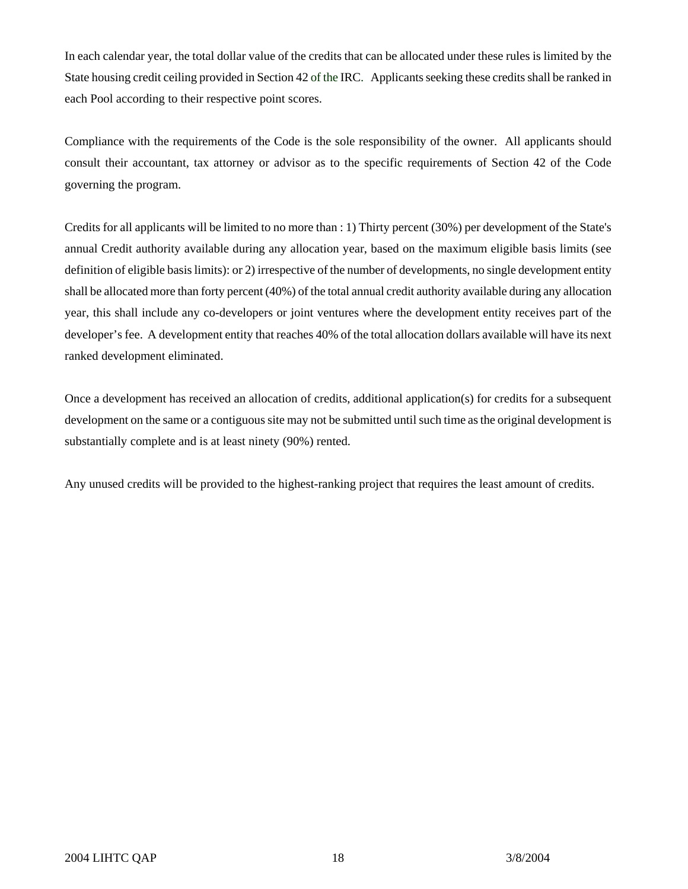In each calendar year, the total dollar value of the credits that can be allocated under these rules is limited by the State housing credit ceiling provided in Section 42 of the IRC. Applicants seeking these credits shall be ranked in each Pool according to their respective point scores.

Compliance with the requirements of the Code is the sole responsibility of the owner. All applicants should consult their accountant, tax attorney or advisor as to the specific requirements of Section 42 of the Code governing the program.

Credits for all applicants will be limited to no more than : 1) Thirty percent (30%) per development of the State's annual Credit authority available during any allocation year, based on the maximum eligible basis limits (see definition of eligible basis limits): or 2) irrespective of the number of developments, no single development entity shall be allocated more than forty percent (40%) of the total annual credit authority available during any allocation year, this shall include any co-developers or joint ventures where the development entity receives part of the developer's fee. A development entity that reaches 40% of the total allocation dollars available will have its next ranked development eliminated.

Once a development has received an allocation of credits, additional application(s) for credits for a subsequent development on the same or a contiguous site may not be submitted until such time as the original development is substantially complete and is at least ninety (90%) rented.

Any unused credits will be provided to the highest-ranking project that requires the least amount of credits.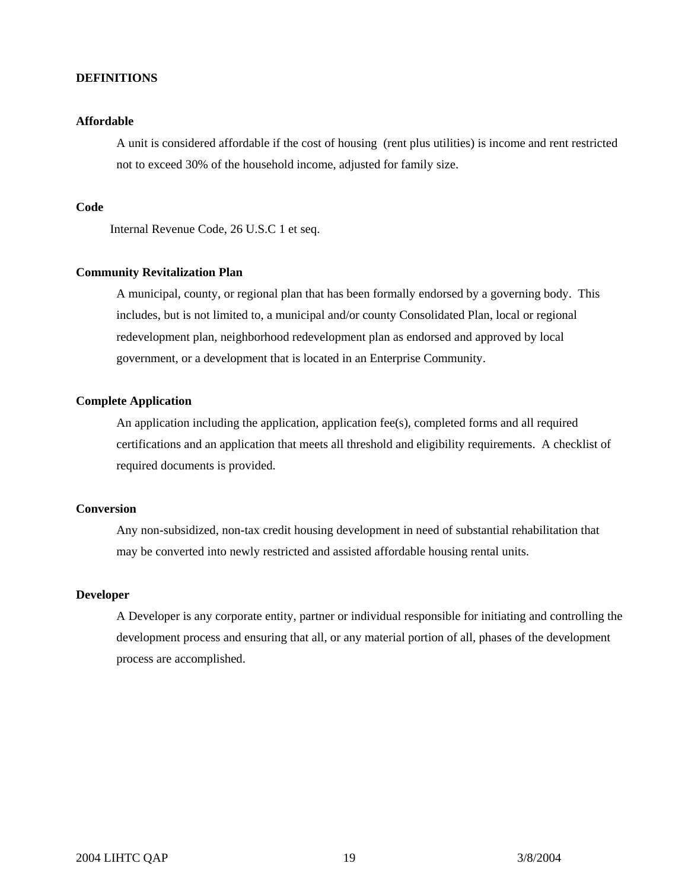#### **DEFINITIONS**

#### **Affordable**

A unit is considered affordable if the cost of housing (rent plus utilities) is income and rent restricted not to exceed 30% of the household income, adjusted for family size.

#### **Code**

Internal Revenue Code, 26 U.S.C 1 et seq.

# **Community Revitalization Plan**

 A municipal, county, or regional plan that has been formally endorsed by a governing body. This includes, but is not limited to, a municipal and/or county Consolidated Plan, local or regional redevelopment plan, neighborhood redevelopment plan as endorsed and approved by local government, or a development that is located in an Enterprise Community.

# **Complete Application**

An application including the application, application fee(s), completed forms and all required certifications and an application that meets all threshold and eligibility requirements. A checklist of required documents is provided.

#### **Conversion**

Any non-subsidized, non-tax credit housing development in need of substantial rehabilitation that may be converted into newly restricted and assisted affordable housing rental units.

#### **Developer**

A Developer is any corporate entity, partner or individual responsible for initiating and controlling the development process and ensuring that all, or any material portion of all, phases of the development process are accomplished.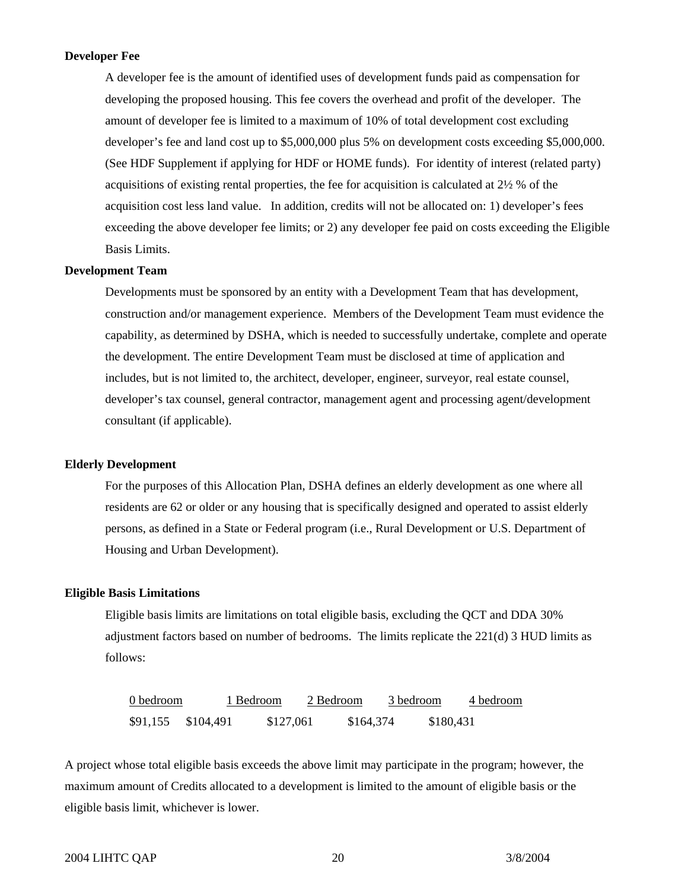#### **Developer Fee**

A developer fee is the amount of identified uses of development funds paid as compensation for developing the proposed housing. This fee covers the overhead and profit of the developer. The amount of developer fee is limited to a maximum of 10% of total development cost excluding developer's fee and land cost up to \$5,000,000 plus 5% on development costs exceeding \$5,000,000. (See HDF Supplement if applying for HDF or HOME funds). For identity of interest (related party) acquisitions of existing rental properties, the fee for acquisition is calculated at 2½ % of the acquisition cost less land value. In addition, credits will not be allocated on: 1) developer's fees exceeding the above developer fee limits; or 2) any developer fee paid on costs exceeding the Eligible Basis Limits.

#### **Development Team**

Developments must be sponsored by an entity with a Development Team that has development, construction and/or management experience. Members of the Development Team must evidence the capability, as determined by DSHA, which is needed to successfully undertake, complete and operate the development. The entire Development Team must be disclosed at time of application and includes, but is not limited to, the architect, developer, engineer, surveyor, real estate counsel, developer's tax counsel, general contractor, management agent and processing agent/development consultant (if applicable).

#### **Elderly Development**

For the purposes of this Allocation Plan, DSHA defines an elderly development as one where all residents are 62 or older or any housing that is specifically designed and operated to assist elderly persons, as defined in a State or Federal program (i.e., Rural Development or U.S. Department of Housing and Urban Development).

#### **Eligible Basis Limitations**

Eligible basis limits are limitations on total eligible basis, excluding the QCT and DDA 30% adjustment factors based on number of bedrooms. The limits replicate the 221(d) 3 HUD limits as follows:

| 0 bedroom |           | 1 Bedroom | 2 Bedroom | 3 bedroom |           | 4 bedroom |
|-----------|-----------|-----------|-----------|-----------|-----------|-----------|
| \$91,155  | \$104.491 | \$127,061 |           | \$164,374 | \$180,431 |           |

A project whose total eligible basis exceeds the above limit may participate in the program; however, the maximum amount of Credits allocated to a development is limited to the amount of eligible basis or the eligible basis limit, whichever is lower.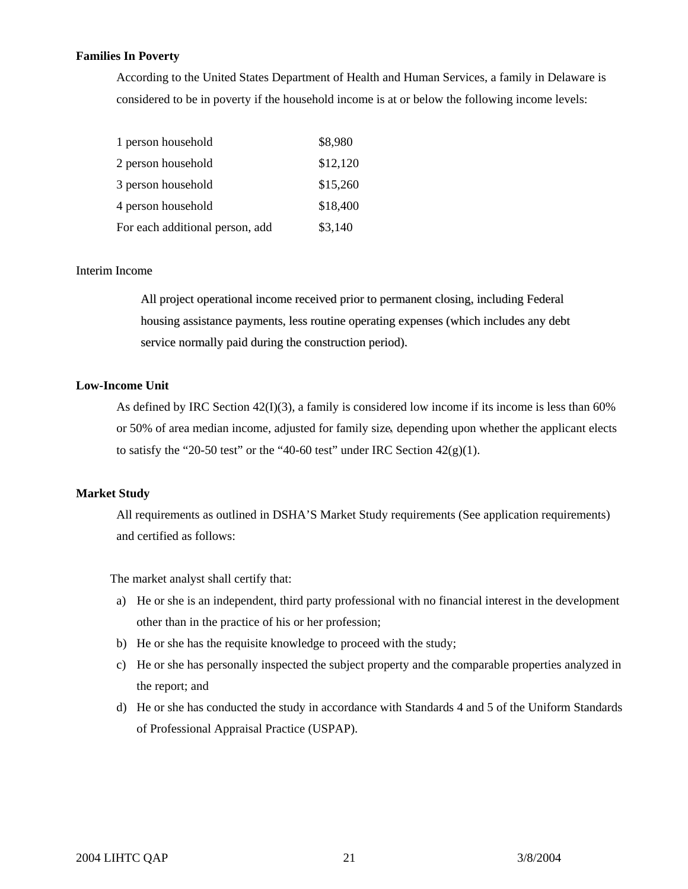## **Families In Poverty**

According to the United States Department of Health and Human Services, a family in Delaware is considered to be in poverty if the household income is at or below the following income levels:

| 1 person household              | \$8,980  |
|---------------------------------|----------|
| 2 person household              | \$12,120 |
| 3 person household              | \$15,260 |
| 4 person household              | \$18,400 |
| For each additional person, add | \$3,140  |

#### Interim Income

All project operational income received prior to permanent closing, including Federal housing assistance payments, less routine operating expenses (which includes any debt service normally paid during the construction period).

# **Low-Income Unit**

As defined by IRC Section 42(I)(3), a family is considered low income if its income is less than 60% or 50% of area median income, adjusted for family size, depending upon whether the applicant elects to satisfy the "20-50 test" or the "40-60 test" under IRC Section  $42(g)(1)$ .

# **Market Study**

All requirements as outlined in DSHA'S Market Study requirements (See application requirements) and certified as follows:

The market analyst shall certify that:

- a) He or she is an independent, third party professional with no financial interest in the development other than in the practice of his or her profession;
- b) He or she has the requisite knowledge to proceed with the study;
- c) He or she has personally inspected the subject property and the comparable properties analyzed in the report; and
- d) He or she has conducted the study in accordance with Standards 4 and 5 of the Uniform Standards of Professional Appraisal Practice (USPAP).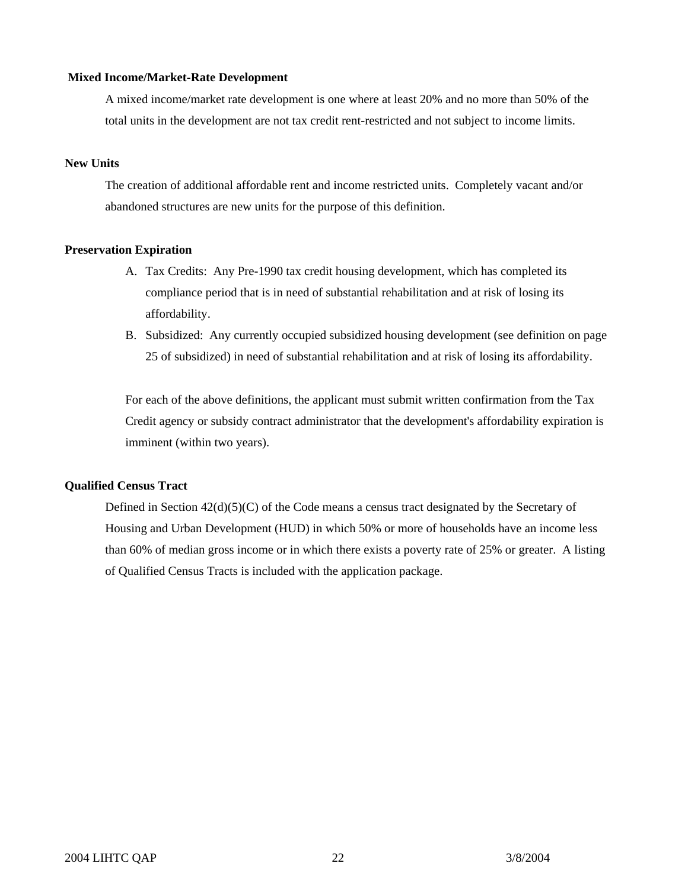#### **Mixed Income/Market-Rate Development**

A mixed income/market rate development is one where at least 20% and no more than 50% of the total units in the development are not tax credit rent-restricted and not subject to income limits.

# **New Units**

The creation of additional affordable rent and income restricted units. Completely vacant and/or abandoned structures are new units for the purpose of this definition.

#### **Preservation Expiration**

- A. Tax Credits: Any Pre-1990 tax credit housing development, which has completed its compliance period that is in need of substantial rehabilitation and at risk of losing its affordability.
- B. Subsidized: Any currently occupied subsidized housing development (see definition on page 25 of subsidized) in need of substantial rehabilitation and at risk of losing its affordability.

For each of the above definitions, the applicant must submit written confirmation from the Tax Credit agency or subsidy contract administrator that the development's affordability expiration is imminent (within two years).

# **Qualified Census Tract**

Defined in Section  $42(d)(5)(C)$  of the Code means a census tract designated by the Secretary of Housing and Urban Development (HUD) in which 50% or more of households have an income less than 60% of median gross income or in which there exists a poverty rate of 25% or greater. A listing of Qualified Census Tracts is included with the application package.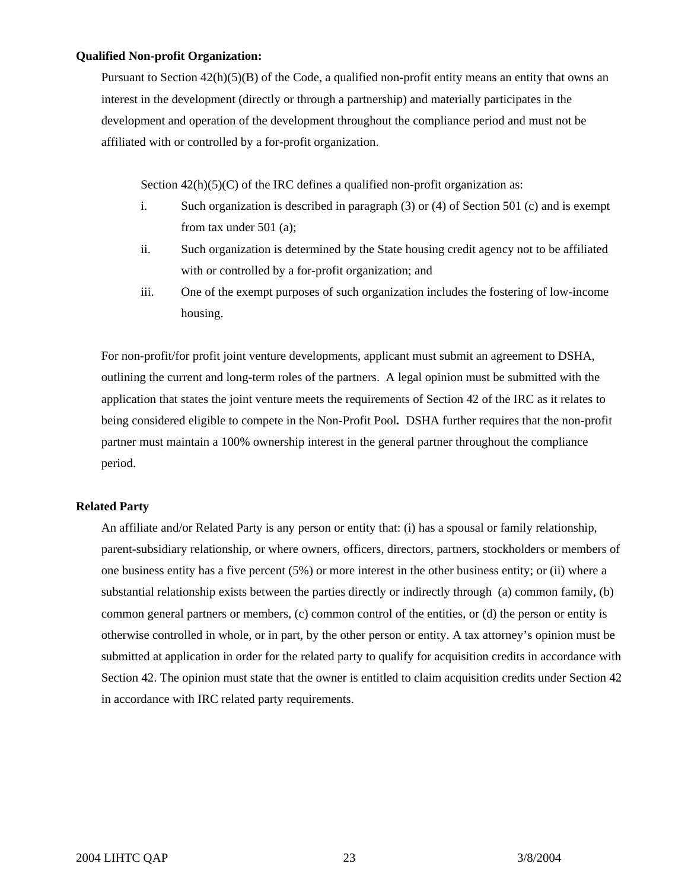#### **Qualified Non-profit Organization:**

Pursuant to Section  $42(h)(5)(B)$  of the Code, a qualified non-profit entity means an entity that owns an interest in the development (directly or through a partnership) and materially participates in the development and operation of the development throughout the compliance period and must not be affiliated with or controlled by a for-profit organization.

Section  $42(h)(5)(C)$  of the IRC defines a qualified non-profit organization as:

- i. Such organization is described in paragraph (3) or (4) of Section 501 (c) and is exempt from tax under 501 (a);
- ii. Such organization is determined by the State housing credit agency not to be affiliated with or controlled by a for-profit organization; and
- iii. One of the exempt purposes of such organization includes the fostering of low-income housing.

 For non-profit/for profit joint venture developments, applicant must submit an agreement to DSHA, outlining the current and long-term roles of the partners. A legal opinion must be submitted with the application that states the joint venture meets the requirements of Section 42 of the IRC as it relates to being considered eligible to compete in the Non-Profit Pool*.* DSHA further requires that the non-profit partner must maintain a 100% ownership interest in the general partner throughout the compliance period.

# **Related Party**

 An affiliate and/or Related Party is any person or entity that: (i) has a spousal or family relationship, parent-subsidiary relationship, or where owners, officers, directors, partners, stockholders or members of one business entity has a five percent (5%) or more interest in the other business entity; or (ii) where a substantial relationship exists between the parties directly or indirectly through (a) common family, (b) common general partners or members, (c) common control of the entities, or (d) the person or entity is otherwise controlled in whole, or in part, by the other person or entity. A tax attorney's opinion must be submitted at application in order for the related party to qualify for acquisition credits in accordance with Section 42. The opinion must state that the owner is entitled to claim acquisition credits under Section 42 in accordance with IRC related party requirements.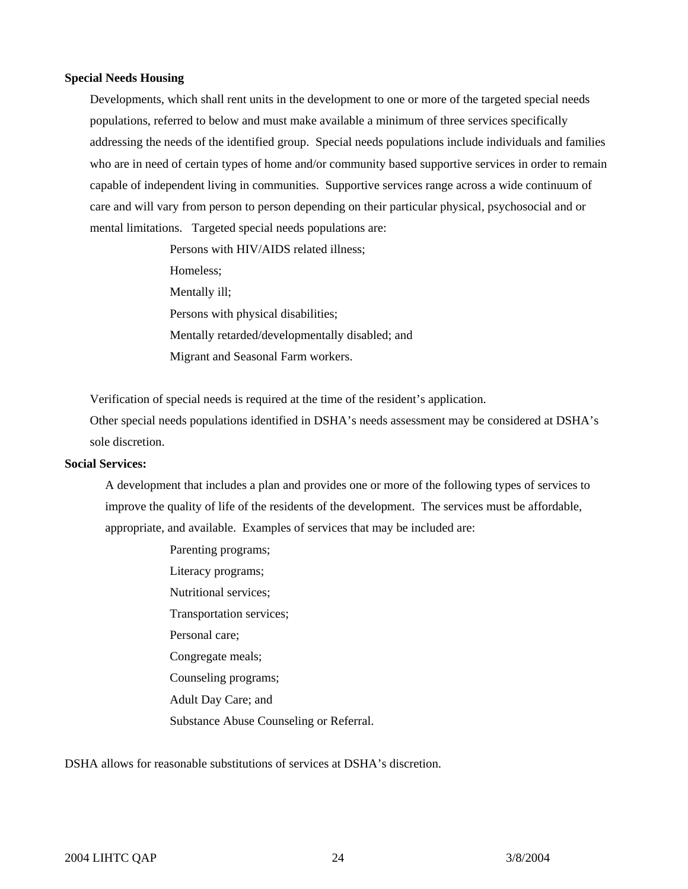#### **Special Needs Housing**

Developments, which shall rent units in the development to one or more of the targeted special needs populations, referred to below and must make available a minimum of three services specifically addressing the needs of the identified group. Special needs populations include individuals and families who are in need of certain types of home and/or community based supportive services in order to remain capable of independent living in communities. Supportive services range across a wide continuum of care and will vary from person to person depending on their particular physical, psychosocial and or mental limitations. Targeted special needs populations are:

> Persons with HIV/AIDS related illness; Homeless; Mentally ill; Persons with physical disabilities; Mentally retarded/developmentally disabled; and Migrant and Seasonal Farm workers.

Verification of special needs is required at the time of the resident's application.

Other special needs populations identified in DSHA's needs assessment may be considered at DSHA's sole discretion.

# **Social Services:**

A development that includes a plan and provides one or more of the following types of services to improve the quality of life of the residents of the development. The services must be affordable, appropriate, and available. Examples of services that may be included are:

> Parenting programs; Literacy programs; Nutritional services; Transportation services; Personal care; Congregate meals; Counseling programs; Adult Day Care; and Substance Abuse Counseling or Referral.

DSHA allows for reasonable substitutions of services at DSHA's discretion.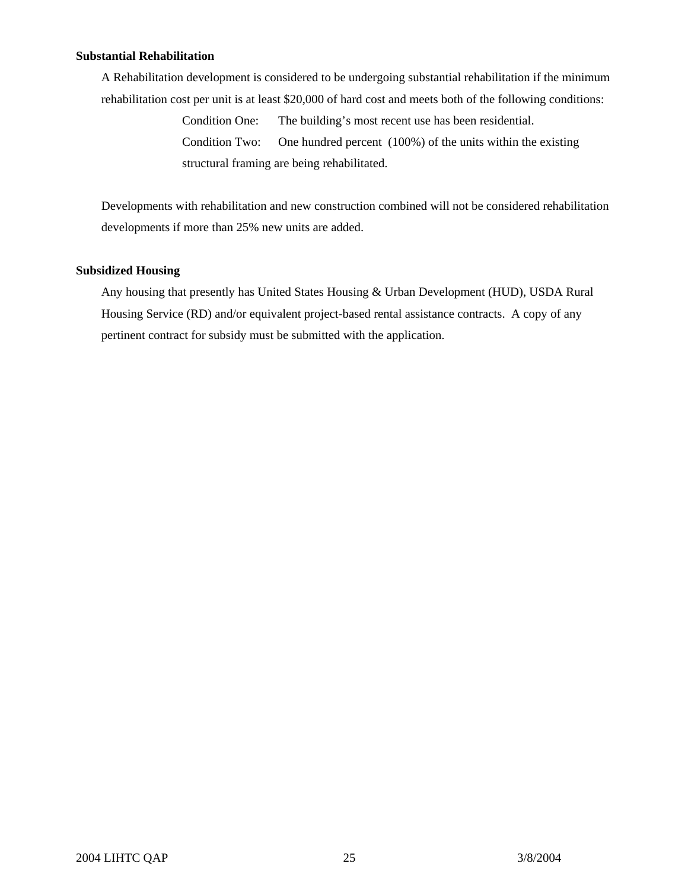# **Substantial Rehabilitation**

A Rehabilitation development is considered to be undergoing substantial rehabilitation if the minimum rehabilitation cost per unit is at least \$20,000 of hard cost and meets both of the following conditions:

> Condition One: The building's most recent use has been residential. Condition Two: One hundred percent (100%) of the units within the existing structural framing are being rehabilitated.

 Developments with rehabilitation and new construction combined will not be considered rehabilitation developments if more than 25% new units are added.

# **Subsidized Housing**

Any housing that presently has United States Housing & Urban Development (HUD), USDA Rural Housing Service (RD) and/or equivalent project-based rental assistance contracts. A copy of any pertinent contract for subsidy must be submitted with the application.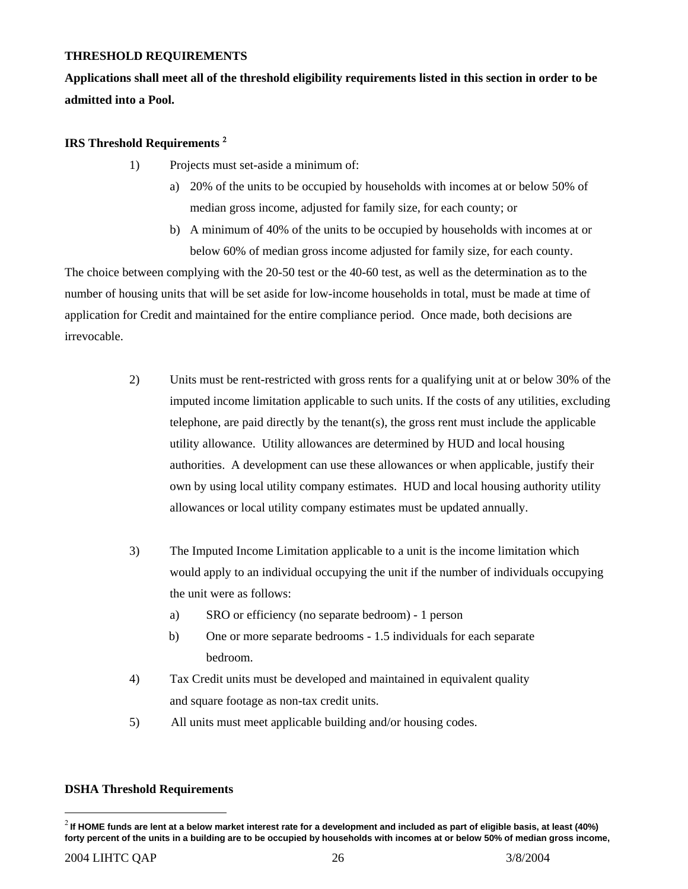# <span id="page-25-0"></span>**THRESHOLD REQUIREMENTS**

**Applications shall meet all of the threshold eligibility requirements listed in this section in order to be admitted into a Pool.** 

# **IRS Threshold Requirements** [2](#page-25-0)

- 1) Projects must set-aside a minimum of:
	- a) 20% of the units to be occupied by households with incomes at or below 50% of median gross income, adjusted for family size, for each county; or
	- b) A minimum of 40% of the units to be occupied by households with incomes at or below 60% of median gross income adjusted for family size, for each county.

The choice between complying with the 20-50 test or the 40-60 test, as well as the determination as to the number of housing units that will be set aside for low-income households in total, must be made at time of application for Credit and maintained for the entire compliance period. Once made, both decisions are irrevocable.

- 2) Units must be rent-restricted with gross rents for a qualifying unit at or below 30% of the imputed income limitation applicable to such units. If the costs of any utilities, excluding telephone, are paid directly by the tenant(s), the gross rent must include the applicable utility allowance. Utility allowances are determined by HUD and local housing authorities. A development can use these allowances or when applicable, justify their own by using local utility company estimates. HUD and local housing authority utility allowances or local utility company estimates must be updated annually.
- 3) The Imputed Income Limitation applicable to a unit is the income limitation which would apply to an individual occupying the unit if the number of individuals occupying the unit were as follows:
	- a) SRO or efficiency (no separate bedroom) 1 person
	- b) One or more separate bedrooms 1.5 individuals for each separate bedroom.
- 4) Tax Credit units must be developed and maintained in equivalent quality and square footage as non-tax credit units.
- 5) All units must meet applicable building and/or housing codes.

# **DSHA Threshold Requirements**

1

<sup>2</sup> **If HOME funds are lent at a below market interest rate for a development and included as part of eligible basis, at least (40%) forty percent of the units in a building are to be occupied by households with incomes at or below 50% of median gross income,**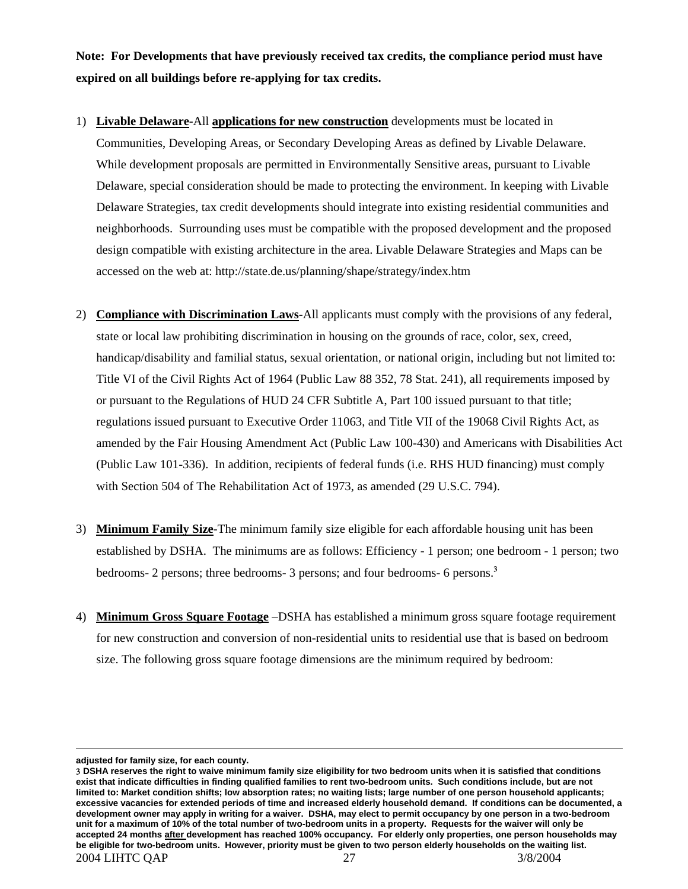**Note: For Developments that have previously received tax credits, the compliance period must have expired on all buildings before re-applying for tax credits.** 

- 1) **Livable Delaware**-All **applications for new construction** developments must be located in Communities, Developing Areas, or Secondary Developing Areas as defined by Livable Delaware. While development proposals are permitted in Environmentally Sensitive areas, pursuant to Livable Delaware, special consideration should be made to protecting the environment. In keeping with Livable Delaware Strategies, tax credit developments should integrate into existing residential communities and neighborhoods. Surrounding uses must be compatible with the proposed development and the proposed design compatible with existing architecture in the area. Livable Delaware Strategies and Maps can be accessed on the web at: http://state.de.us/planning/shape/strategy/index.htm
- 2) **Compliance with Discrimination Laws**-All applicants must comply with the provisions of any federal, state or local law prohibiting discrimination in housing on the grounds of race, color, sex, creed, handicap/disability and familial status, sexual orientation, or national origin, including but not limited to: Title VI of the Civil Rights Act of 1964 (Public Law 88 352, 78 Stat. 241), all requirements imposed by or pursuant to the Regulations of HUD 24 CFR Subtitle A, Part 100 issued pursuant to that title; regulations issued pursuant to Executive Order 11063, and Title VII of the 19068 Civil Rights Act, as amended by the Fair Housing Amendment Act (Public Law 100-430) and Americans with Disabilities Act (Public Law 101-336). In addition, recipients of federal funds (i.e. RHS HUD financing) must comply with Section 504 of The Rehabilitation Act of 1973, as amended (29 U.S.C. 794).
- 3) **Minimum Family Size**-The minimum family size eligible for each affordable housing unit has been established by DSHA. The minimums are as follows: Efficiency - 1 person; one bedroom - 1 person; two bedrooms- 2 persons; three bedrooms- 3 persons; and four bedrooms- 6 persons.[3](#page-26-0)
- 4) **Minimum Gross Square Footage** –DSHA has established a minimum gross square footage requirement for new construction and conversion of non-residential units to residential use that is based on bedroom size. The following gross square footage dimensions are the minimum required by bedroom:

 $\overline{a}$ 

**adjusted for family size, for each county.**

<span id="page-26-0"></span><sup>2004</sup> LIHTC QAP 27 3/8/2004 3 **DSHA reserves the right to waive minimum family size eligibility for two bedroom units when it is satisfied that conditions exist that indicate difficulties in finding qualified families to rent two-bedroom units. Such conditions include, but are not limited to: Market condition shifts; low absorption rates; no waiting lists; large number of one person household applicants; excessive vacancies for extended periods of time and increased elderly household demand. If conditions can be documented, a development owner may apply in writing for a waiver. DSHA, may elect to permit occupancy by one person in a two-bedroom unit for a maximum of 10% of the total number of two-bedroom units in a property. Requests for the waiver will only be accepted 24 months after development has reached 100% occupancy. For elderly only properties, one person households may be eligible for two-bedroom units. However, priority must be given to two person elderly households on the waiting list.**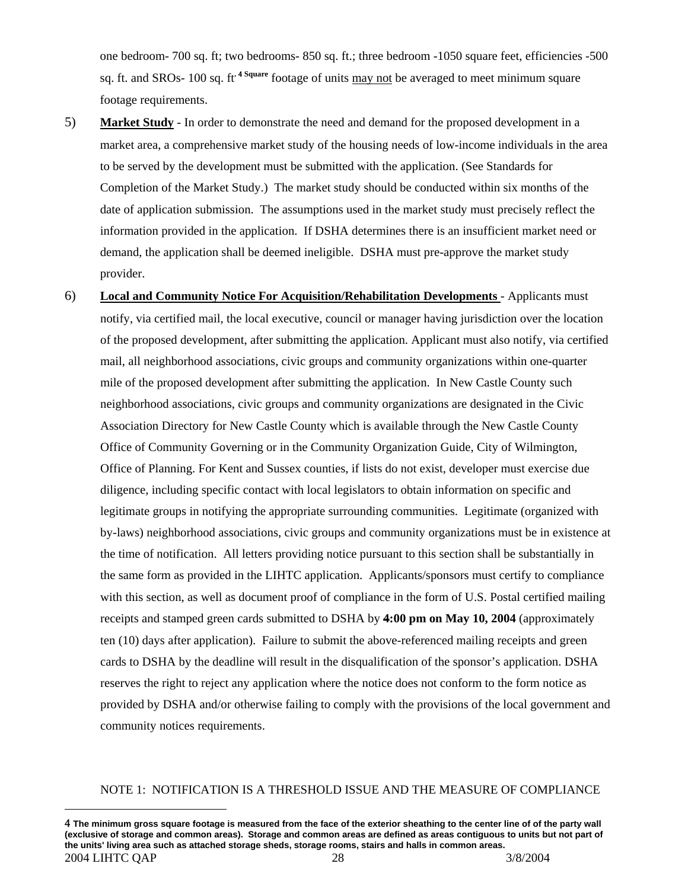one bedroom- 700 sq. ft; two bedrooms- 850 sq. ft.; three bedroom -1050 square feet, efficiencies -500 sq. ft. and SROs- 100 sq. ft**.** [4](#page-27-0) **Square** footage of units may not be averaged to meet minimum square footage requirements.

- 5) **Market Study** In order to demonstrate the need and demand for the proposed development in a market area, a comprehensive market study of the housing needs of low-income individuals in the area to be served by the development must be submitted with the application. (See Standards for Completion of the Market Study.) The market study should be conducted within six months of the date of application submission. The assumptions used in the market study must precisely reflect the information provided in the application. If DSHA determines there is an insufficient market need or demand, the application shall be deemed ineligible. DSHA must pre-approve the market study provider.
- 6) **Local and Community Notice For Acquisition/Rehabilitation Developments** Applicants must notify, via certified mail, the local executive, council or manager having jurisdiction over the location of the proposed development, after submitting the application. Applicant must also notify, via certified mail, all neighborhood associations, civic groups and community organizations within one-quarter mile of the proposed development after submitting the application. In New Castle County such neighborhood associations, civic groups and community organizations are designated in the Civic Association Directory for New Castle County which is available through the New Castle County Office of Community Governing or in the Community Organization Guide, City of Wilmington, Office of Planning. For Kent and Sussex counties, if lists do not exist, developer must exercise due diligence, including specific contact with local legislators to obtain information on specific and legitimate groups in notifying the appropriate surrounding communities. Legitimate (organized with by-laws) neighborhood associations, civic groups and community organizations must be in existence at the time of notification. All letters providing notice pursuant to this section shall be substantially in the same form as provided in the LIHTC application. Applicants/sponsors must certify to compliance with this section, as well as document proof of compliance in the form of U.S. Postal certified mailing receipts and stamped green cards submitted to DSHA by **4:00 pm on May 10, 2004** (approximately ten (10) days after application). Failure to submit the above-referenced mailing receipts and green cards to DSHA by the deadline will result in the disqualification of the sponsor's application. DSHA reserves the right to reject any application where the notice does not conform to the form notice as provided by DSHA and/or otherwise failing to comply with the provisions of the local government and community notices requirements.

# NOTE 1: NOTIFICATION IS A THRESHOLD ISSUE AND THE MEASURE OF COMPLIANCE

1

<span id="page-27-0"></span><sup>2004</sup> LIHTC QAP 28 3/8/2004 4 **The minimum gross square footage is measured from the face of the exterior sheathing to the center line of of the party wall (exclusive of storage and common areas). Storage and common areas are defined as areas contiguous to units but not part of the units' living area such as attached storage sheds, storage rooms, stairs and halls in common areas.**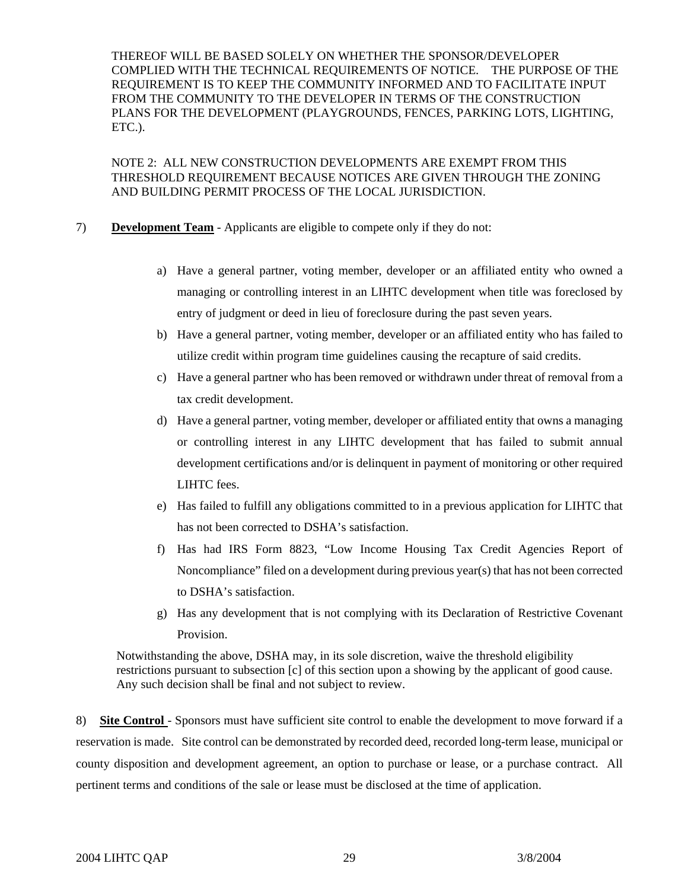THEREOF WILL BE BASED SOLELY ON WHETHER THE SPONSOR/DEVELOPER COMPLIED WITH THE TECHNICAL REQUIREMENTS OF NOTICE. THE PURPOSE OF THE REQUIREMENT IS TO KEEP THE COMMUNITY INFORMED AND TO FACILITATE INPUT FROM THE COMMUNITY TO THE DEVELOPER IN TERMS OF THE CONSTRUCTION PLANS FOR THE DEVELOPMENT (PLAYGROUNDS, FENCES, PARKING LOTS, LIGHTING, ETC.).

NOTE 2: ALL NEW CONSTRUCTION DEVELOPMENTS ARE EXEMPT FROM THIS THRESHOLD REQUIREMENT BECAUSE NOTICES ARE GIVEN THROUGH THE ZONING AND BUILDING PERMIT PROCESS OF THE LOCAL JURISDICTION.

- 7) **Development Team** Applicants are eligible to compete only if they do not:
	- a) Have a general partner, voting member, developer or an affiliated entity who owned a managing or controlling interest in an LIHTC development when title was foreclosed by entry of judgment or deed in lieu of foreclosure during the past seven years.
	- b) Have a general partner, voting member, developer or an affiliated entity who has failed to utilize credit within program time guidelines causing the recapture of said credits.
	- c) Have a general partner who has been removed or withdrawn under threat of removal from a tax credit development.
	- d) Have a general partner, voting member, developer or affiliated entity that owns a managing or controlling interest in any LIHTC development that has failed to submit annual development certifications and/or is delinquent in payment of monitoring or other required LIHTC fees.
	- e) Has failed to fulfill any obligations committed to in a previous application for LIHTC that has not been corrected to DSHA's satisfaction.
	- f) Has had IRS Form 8823, "Low Income Housing Tax Credit Agencies Report of Noncompliance" filed on a development during previous year(s) that has not been corrected to DSHA's satisfaction.
	- g) Has any development that is not complying with its Declaration of Restrictive Covenant Provision.

Notwithstanding the above, DSHA may, in its sole discretion, waive the threshold eligibility restrictions pursuant to subsection [c] of this section upon a showing by the applicant of good cause. Any such decision shall be final and not subject to review.

8) **Site Control** - Sponsors must have sufficient site control to enable the development to move forward if a reservation is made. Site control can be demonstrated by recorded deed, recorded long-term lease, municipal or county disposition and development agreement, an option to purchase or lease, or a purchase contract. All pertinent terms and conditions of the sale or lease must be disclosed at the time of application.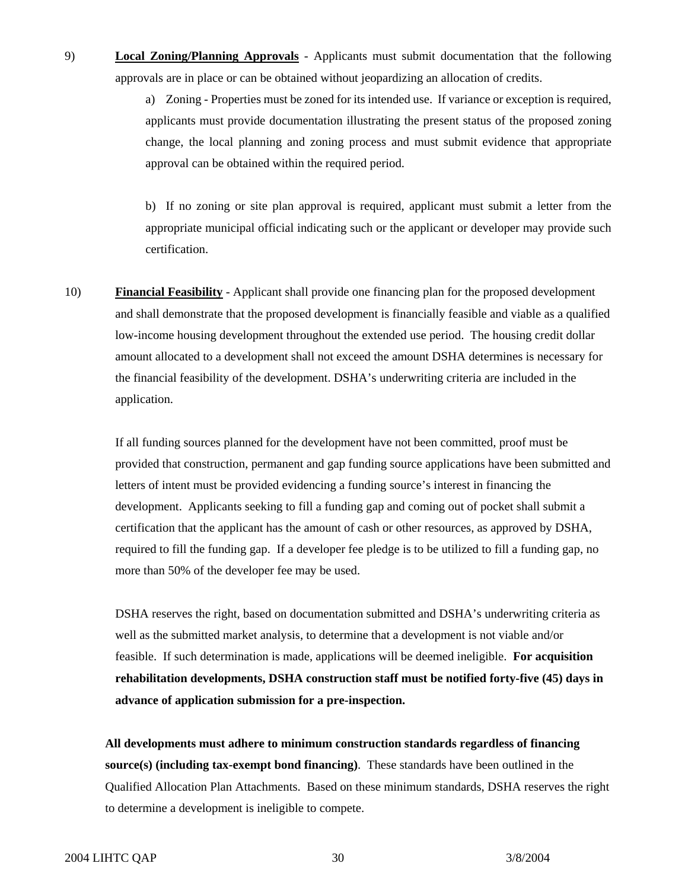9) **Local Zoning/Planning Approvals** - Applicants must submit documentation that the following approvals are in place or can be obtained without jeopardizing an allocation of credits.

> a) Zoning - Properties must be zoned for its intended use. If variance or exception is required, applicants must provide documentation illustrating the present status of the proposed zoning change, the local planning and zoning process and must submit evidence that appropriate approval can be obtained within the required period.

> b) If no zoning or site plan approval is required, applicant must submit a letter from the appropriate municipal official indicating such or the applicant or developer may provide such certification.

10) **Financial Feasibility** - Applicant shall provide one financing plan for the proposed development and shall demonstrate that the proposed development is financially feasible and viable as a qualified low-income housing development throughout the extended use period. The housing credit dollar amount allocated to a development shall not exceed the amount DSHA determines is necessary for the financial feasibility of the development. DSHA's underwriting criteria are included in the application.

 If all funding sources planned for the development have not been committed, proof must be provided that construction, permanent and gap funding source applications have been submitted and letters of intent must be provided evidencing a funding source's interest in financing the development. Applicants seeking to fill a funding gap and coming out of pocket shall submit a certification that the applicant has the amount of cash or other resources, as approved by DSHA, required to fill the funding gap. If a developer fee pledge is to be utilized to fill a funding gap, no more than 50% of the developer fee may be used.

DSHA reserves the right, based on documentation submitted and DSHA's underwriting criteria as well as the submitted market analysis, to determine that a development is not viable and/or feasible. If such determination is made, applications will be deemed ineligible. **For acquisition rehabilitation developments, DSHA construction staff must be notified forty-five (45) days in advance of application submission for a pre-inspection.** 

**All developments must adhere to minimum construction standards regardless of financing source(s) (including tax-exempt bond financing)**. These standards have been outlined in the Qualified Allocation Plan Attachments. Based on these minimum standards, DSHA reserves the right to determine a development is ineligible to compete.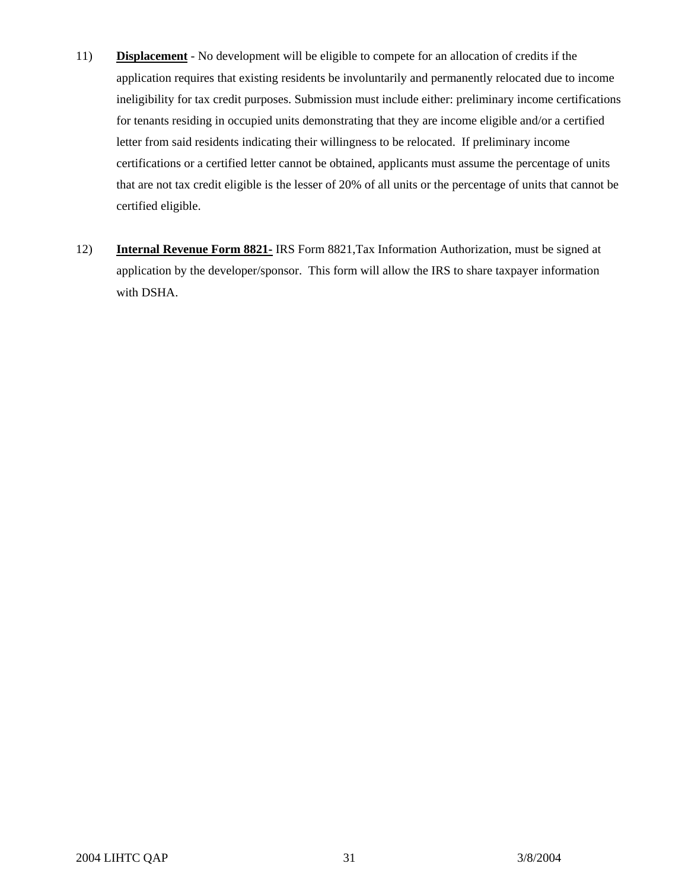- 11) **Displacement** No development will be eligible to compete for an allocation of credits if the application requires that existing residents be involuntarily and permanently relocated due to income ineligibility for tax credit purposes. Submission must include either: preliminary income certifications for tenants residing in occupied units demonstrating that they are income eligible and/or a certified letter from said residents indicating their willingness to be relocated. If preliminary income certifications or a certified letter cannot be obtained, applicants must assume the percentage of units that are not tax credit eligible is the lesser of 20% of all units or the percentage of units that cannot be certified eligible.
- 12) **Internal Revenue Form 8821-** IRS Form 8821,Tax Information Authorization, must be signed at application by the developer/sponsor. This form will allow the IRS to share taxpayer information with DSHA.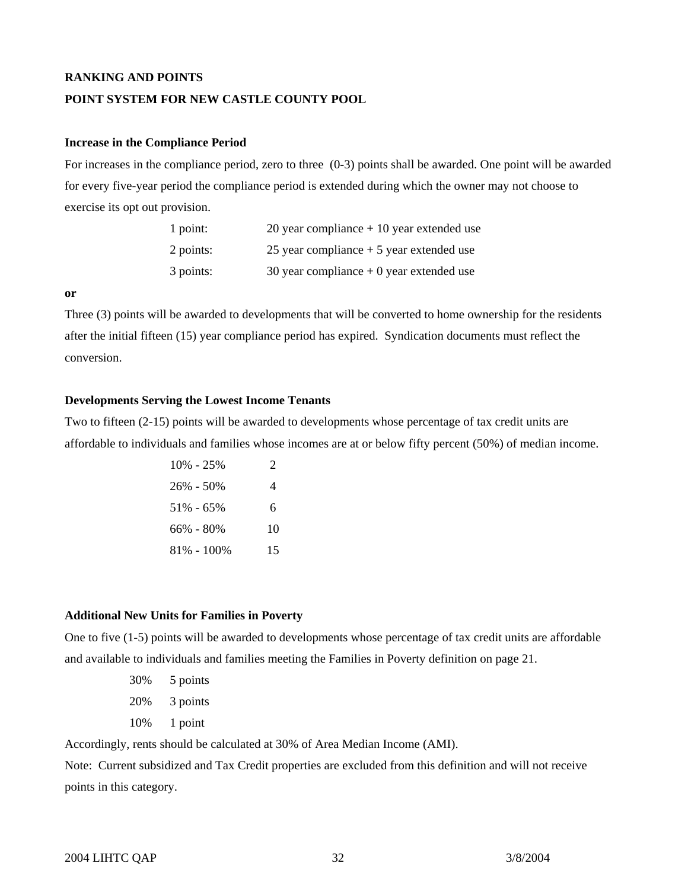# **RANKING AND POINTS**

#### **POINT SYSTEM FOR NEW CASTLE COUNTY POOL**

#### **Increase in the Compliance Period**

For increases in the compliance period, zero to three (0-3) points shall be awarded. One point will be awarded for every five-year period the compliance period is extended during which the owner may not choose to exercise its opt out provision.

| $1$ point: | 20 year compliance $+10$ year extended use |
|------------|--------------------------------------------|
| 2 points:  | 25 year compliance $+5$ year extended use  |
| 3 points:  | 30 year compliance $+0$ year extended use  |

#### **or**

Three (3) points will be awarded to developments that will be converted to home ownership for the residents after the initial fifteen (15) year compliance period has expired. Syndication documents must reflect the conversion.

### **Developments Serving the Lowest Income Tenants**

Two to fifteen (2-15) points will be awarded to developments whose percentage of tax credit units are affordable to individuals and families whose incomes are at or below fifty percent (50%) of median income.

| $10\% - 25\%$ | 2  |
|---------------|----|
| $26\% - 50\%$ |    |
| $51\% - 65\%$ | 6. |
| $66\% - 80\%$ | 10 |
| 81% - 100%    | 15 |

#### **Additional New Units for Families in Poverty**

One to five (1-5) points will be awarded to developments whose percentage of tax credit units are affordable and available to individuals and families meeting the Families in Poverty definition on page 21.

- 30% 5 points 20% 3 points
- 10% 1 point

Accordingly, rents should be calculated at 30% of Area Median Income (AMI).

Note: Current subsidized and Tax Credit properties are excluded from this definition and will not receive points in this category.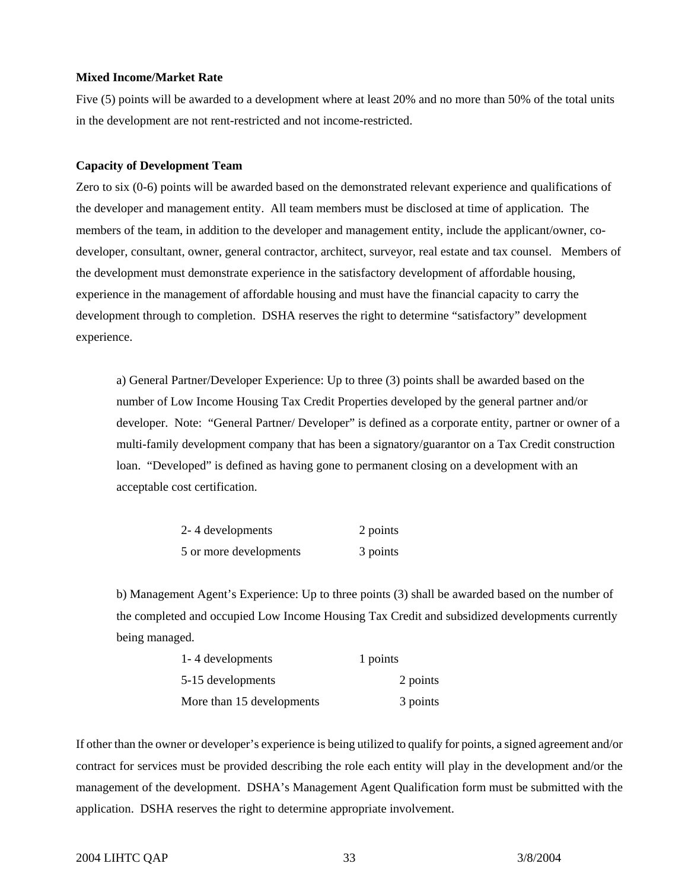#### **Mixed Income/Market Rate**

Five (5) points will be awarded to a development where at least 20% and no more than 50% of the total units in the development are not rent-restricted and not income-restricted.

## **Capacity of Development Team**

Zero to six (0-6) points will be awarded based on the demonstrated relevant experience and qualifications of the developer and management entity. All team members must be disclosed at time of application. The members of the team, in addition to the developer and management entity, include the applicant/owner, codeveloper, consultant, owner, general contractor, architect, surveyor, real estate and tax counsel. Members of the development must demonstrate experience in the satisfactory development of affordable housing, experience in the management of affordable housing and must have the financial capacity to carry the development through to completion. DSHA reserves the right to determine "satisfactory" development experience.

a) General Partner/Developer Experience: Up to three (3) points shall be awarded based on the number of Low Income Housing Tax Credit Properties developed by the general partner and/or developer. Note: "General Partner/ Developer" is defined as a corporate entity, partner or owner of a multi-family development company that has been a signatory/guarantor on a Tax Credit construction loan. "Developed" is defined as having gone to permanent closing on a development with an acceptable cost certification.

| 2-4 developments       | 2 points |
|------------------------|----------|
| 5 or more developments | 3 points |

b) Management Agent's Experience: Up to three points (3) shall be awarded based on the number of the completed and occupied Low Income Housing Tax Credit and subsidized developments currently being managed.

| 1-4 developments          | 1 points |
|---------------------------|----------|
| 5-15 developments         | 2 points |
| More than 15 developments | 3 points |

If other than the owner or developer's experience is being utilized to qualify for points, a signed agreement and/or contract for services must be provided describing the role each entity will play in the development and/or the management of the development. DSHA's Management Agent Qualification form must be submitted with the application. DSHA reserves the right to determine appropriate involvement.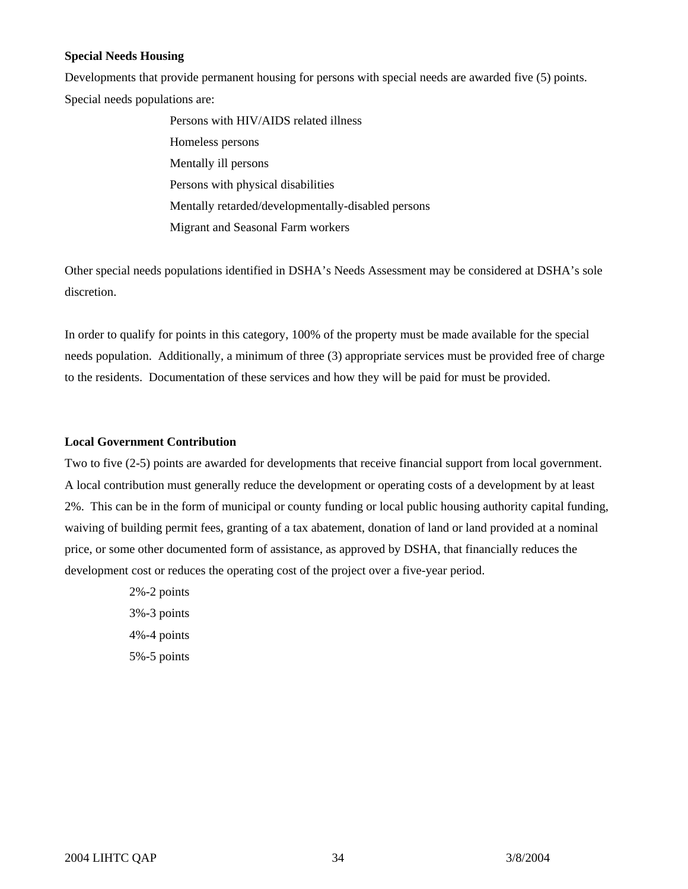# **Special Needs Housing**

Developments that provide permanent housing for persons with special needs are awarded five (5) points. Special needs populations are:

> Persons with HIV/AIDS related illness Homeless persons Mentally ill persons Persons with physical disabilities Mentally retarded/developmentally-disabled persons Migrant and Seasonal Farm workers

Other special needs populations identified in DSHA's Needs Assessment may be considered at DSHA's sole discretion.

In order to qualify for points in this category, 100% of the property must be made available for the special needs population. Additionally, a minimum of three (3) appropriate services must be provided free of charge to the residents. Documentation of these services and how they will be paid for must be provided.

## **Local Government Contribution**

Two to five (2-5) points are awarded for developments that receive financial support from local government. A local contribution must generally reduce the development or operating costs of a development by at least 2%. This can be in the form of municipal or county funding or local public housing authority capital funding, waiving of building permit fees, granting of a tax abatement, donation of land or land provided at a nominal price, or some other documented form of assistance, as approved by DSHA, that financially reduces the development cost or reduces the operating cost of the project over a five-year period.

> 2%-2 points 3%-3 points 4%-4 points 5%-5 points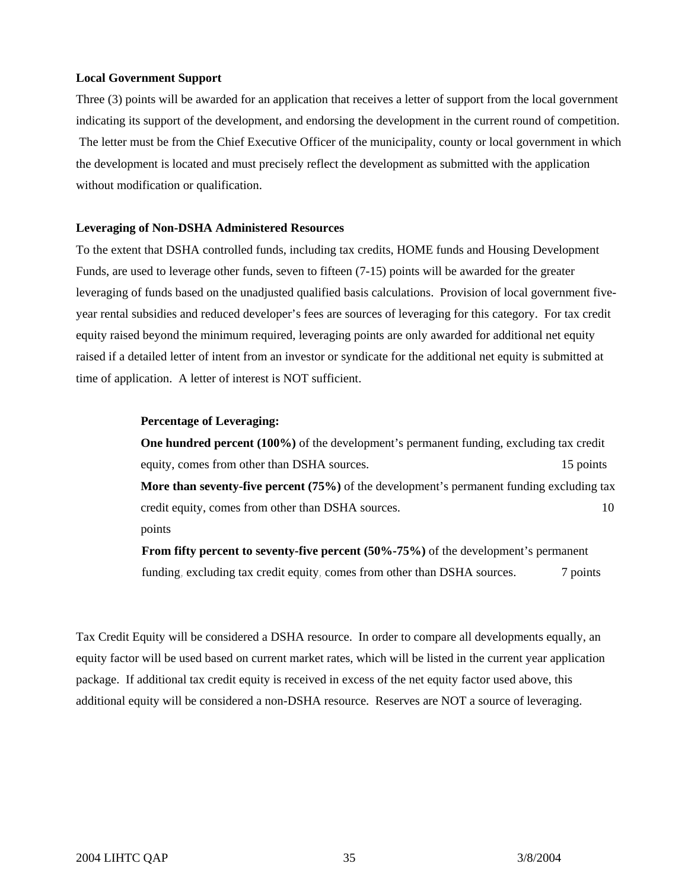#### **Local Government Support**

Three (3) points will be awarded for an application that receives a letter of support from the local government indicating its support of the development, and endorsing the development in the current round of competition. The letter must be from the Chief Executive Officer of the municipality, county or local government in which the development is located and must precisely reflect the development as submitted with the application without modification or qualification.

#### **Leveraging of Non-DSHA Administered Resources**

To the extent that DSHA controlled funds, including tax credits, HOME funds and Housing Development Funds, are used to leverage other funds, seven to fifteen (7-15) points will be awarded for the greater leveraging of funds based on the unadjusted qualified basis calculations. Provision of local government fiveyear rental subsidies and reduced developer's fees are sources of leveraging for this category. For tax credit equity raised beyond the minimum required, leveraging points are only awarded for additional net equity raised if a detailed letter of intent from an investor or syndicate for the additional net equity is submitted at time of application. A letter of interest is NOT sufficient.

#### **Percentage of Leveraging:**

**One hundred percent (100%)** of the development's permanent funding, excluding tax credit equity, comes from other than DSHA sources. 15 points 15 points **More than seventy-five percent (75%)** of the development's permanent funding excluding tax credit equity, comes from other than DSHA sources. 10 points

**From fifty percent to seventy-five percent (50%-75%)** of the development's permanent funding, excluding tax credit equity, comes from other than DSHA sources. 7 points

Tax Credit Equity will be considered a DSHA resource. In order to compare all developments equally, an equity factor will be used based on current market rates, which will be listed in the current year application package. If additional tax credit equity is received in excess of the net equity factor used above, this additional equity will be considered a non-DSHA resource. Reserves are NOT a source of leveraging.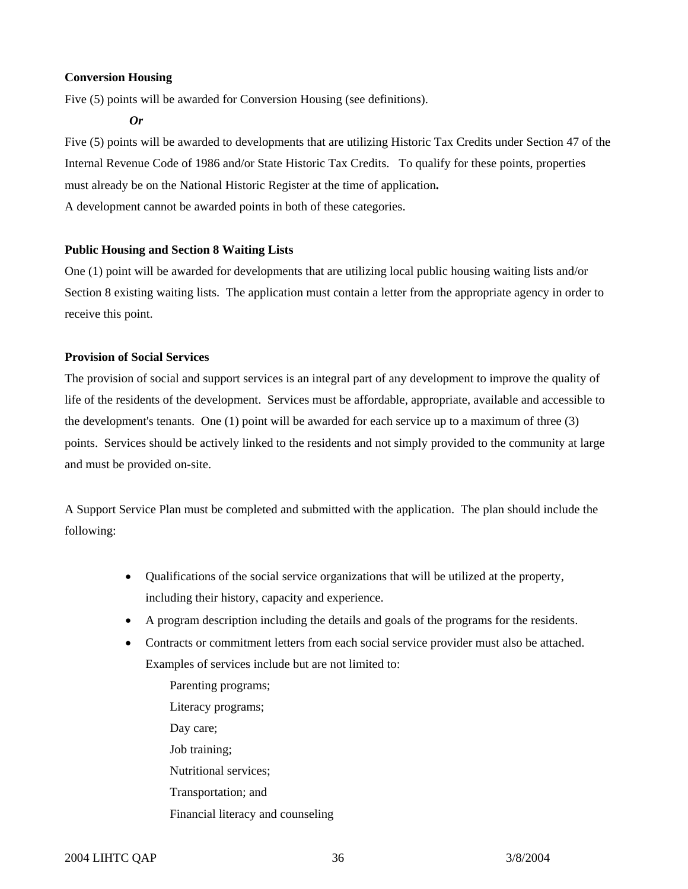# **Conversion Housing**

Five (5) points will be awarded for Conversion Housing (see definitions).

*Or* 

Five (5) points will be awarded to developments that are utilizing Historic Tax Credits under Section 47 of the Internal Revenue Code of 1986 and/or State Historic Tax Credits. To qualify for these points, properties must already be on the National Historic Register at the time of application**.**  A development cannot be awarded points in both of these categories.

# **Public Housing and Section 8 Waiting Lists**

One (1) point will be awarded for developments that are utilizing local public housing waiting lists and/or Section 8 existing waiting lists. The application must contain a letter from the appropriate agency in order to receive this point.

# **Provision of Social Services**

The provision of social and support services is an integral part of any development to improve the quality of life of the residents of the development. Services must be affordable, appropriate, available and accessible to the development's tenants. One (1) point will be awarded for each service up to a maximum of three (3) points. Services should be actively linked to the residents and not simply provided to the community at large and must be provided on-site.

A Support Service Plan must be completed and submitted with the application. The plan should include the following:

- Qualifications of the social service organizations that will be utilized at the property, including their history, capacity and experience.
- A program description including the details and goals of the programs for the residents.
- Contracts or commitment letters from each social service provider must also be attached. Examples of services include but are not limited to:

Parenting programs; Literacy programs; Day care; Job training; Nutritional services; Transportation; and Financial literacy and counseling

2004 LIHTC QAP 3/8/2004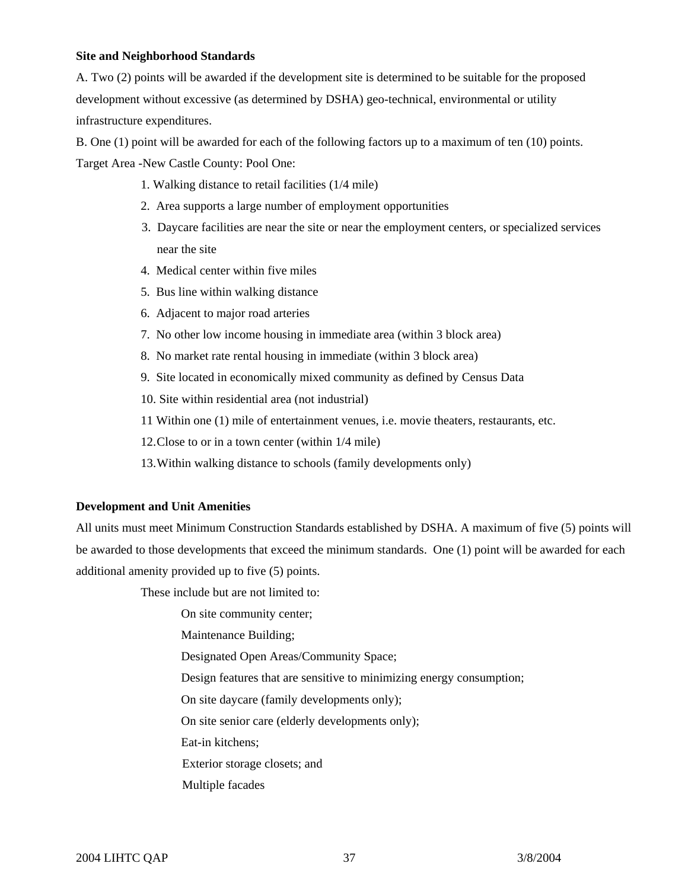# **Site and Neighborhood Standards**

A. Two (2) points will be awarded if the development site is determined to be suitable for the proposed development without excessive (as determined by DSHA) geo-technical, environmental or utility infrastructure expenditures.

B. One (1) point will be awarded for each of the following factors up to a maximum of ten (10) points. Target Area -New Castle County: Pool One:

1. Walking distance to retail facilities (1/4 mile)

- 2. Area supports a large number of employment opportunities
- 3. Daycare facilities are near the site or near the employment centers, or specialized services near the site
- 4. Medical center within five miles
- 5. Bus line within walking distance
- 6. Adjacent to major road arteries
- 7. No other low income housing in immediate area (within 3 block area)
- 8. No market rate rental housing in immediate (within 3 block area)
- 9. Site located in economically mixed community as defined by Census Data
- 10. Site within residential area (not industrial)
- 11 Within one (1) mile of entertainment venues, i.e. movie theaters, restaurants, etc.
- 12. Close to or in a town center (within 1/4 mile)
- 13. Within walking distance to schools (family developments only)

#### **Development and Unit Amenities**

All units must meet Minimum Construction Standards established by DSHA. A maximum of five (5) points will be awarded to those developments that exceed the minimum standards. One (1) point will be awarded for each additional amenity provided up to five (5) points.

These include but are not limited to:

On site community center;

Maintenance Building;

Designated Open Areas/Community Space;

Design features that are sensitive to minimizing energy consumption;

On site daycare (family developments only);

On site senior care (elderly developments only);

Eat-in kitchens;

Exterior storage closets; and

Multiple facades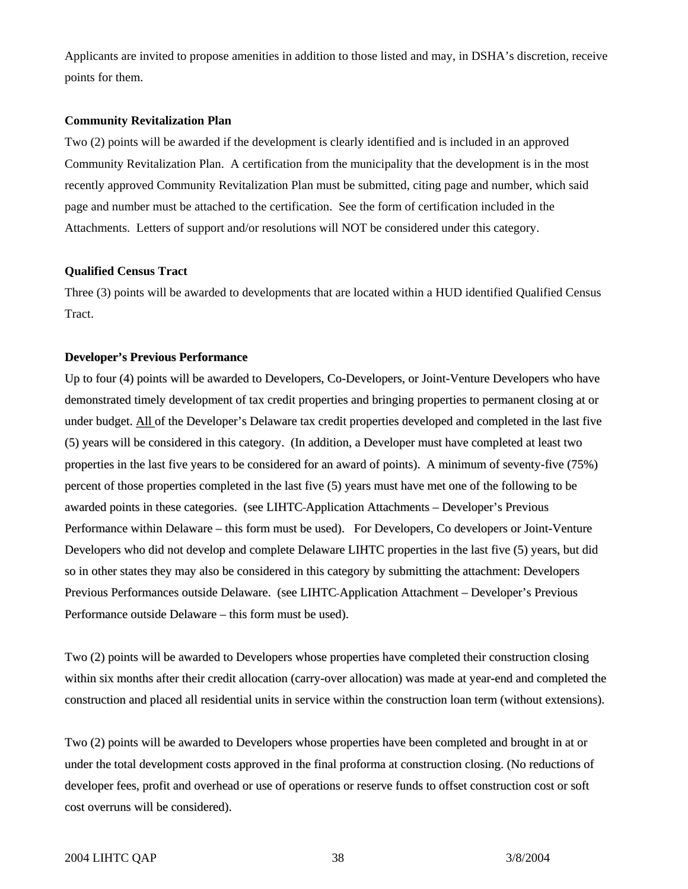Applicants are invited to propose amenities in addition to those listed and may, in DSHA's discretion, receive points for them.

#### **Community Revitalization Plan**

Two (2) points will be awarded if the development is clearly identified and is included in an approved Community Revitalization Plan. A certification from the municipality that the development is in the most recently approved Community Revitalization Plan must be submitted, citing page and number, which said page and number must be attached to the certification. See the form of certification included in the Attachments. Letters of support and/or resolutions will NOT be considered under this category.

#### **Qualified Census Tract**

Three (3) points will be awarded to developments that are located within a HUD identified Qualified Census Tract.

#### **Developer's Previous Performance**

Up to four (4) points will be awarded to Developers, Co-Developers, or Joint-Venture Developers who have demonstrated timely development of tax credit properties and bringing properties to permanent closing at or under budget. All of the Developer's Delaware tax credit properties developed and completed in the last five (5) years will be considered in this category. (In addition, a Developer must have completed at least two properties in the last five years to be considered for an award of points). A minimum of seventy-five (75%) percent of those properties completed in the last five (5) years must have met one of the following to be awarded points in these categories. (see LIHTC Application Attachments – Developer's Previous Performance within Delaware – this form must be used). For Developers, Co developers or Joint-Venture Developers who did not develop and complete Delaware LIHTC properties in the last five (5) years, but did so in other states they may also be considered in this category by submitting the attachment: Developers Previous Performances outside Delaware. (see LIHTC Application Attachment – Developer's Previous Performance outside Delaware – this form must be used).

Two (2) points will be awarded to Developers whose properties have completed their construction closing within six months after their credit allocation (carry-over allocation) was made at year-end and completed the construction and placed all residential units in service within the construction loan term (without extensions).

Two (2) points will be awarded to Developers whose properties have been completed and brought in at or under the total development costs approved in the final proforma at construction closing. (No reductions of developer fees, profit and overhead or use of operations or reserve funds to offset construction cost or soft cost overruns will be considered).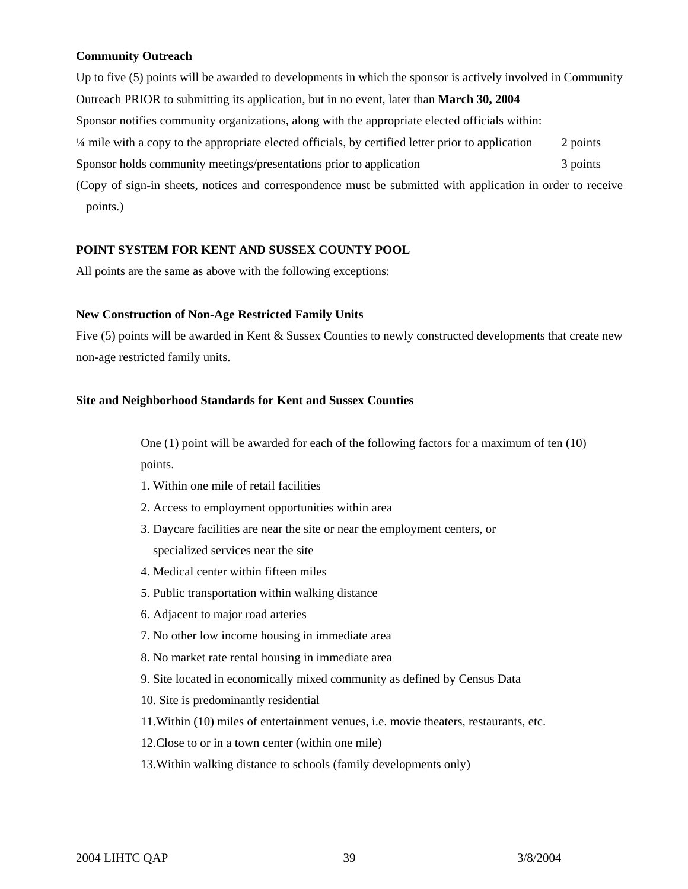# **Community Outreach**

Up to five (5) points will be awarded to developments in which the sponsor is actively involved in Community Outreach PRIOR to submitting its application, but in no event, later than **March 30, 2004**  Sponsor notifies community organizations, along with the appropriate elected officials within: ¼ mile with a copy to the appropriate elected officials, by certified letter prior to application 2 points Sponsor holds community meetings/presentations prior to application 3 points (Copy of sign-in sheets, notices and correspondence must be submitted with application in order to receive

points.)

# **POINT SYSTEM FOR KENT AND SUSSEX COUNTY POOL**

All points are the same as above with the following exceptions:

# **New Construction of Non-Age Restricted Family Units**

Five (5) points will be awarded in Kent & Sussex Counties to newly constructed developments that create new non-age restricted family units.

# **Site and Neighborhood Standards for Kent and Sussex Counties**

One (1) point will be awarded for each of the following factors for a maximum of ten (10) points.

- 1. Within one mile of retail facilities
- 2. Access to employment opportunities within area
- 3. Daycare facilities are near the site or near the employment centers, or specialized services near the site
- 4. Medical center within fifteen miles
- 5. Public transportation within walking distance
- 6. Adjacent to major road arteries
- 7. No other low income housing in immediate area
- 8. No market rate rental housing in immediate area
- 9. Site located in economically mixed community as defined by Census Data
- 10. Site is predominantly residential
- 11.Within (10) miles of entertainment venues, i.e. movie theaters, restaurants, etc.
- 12.Close to or in a town center (within one mile)
- 13.Within walking distance to schools (family developments only)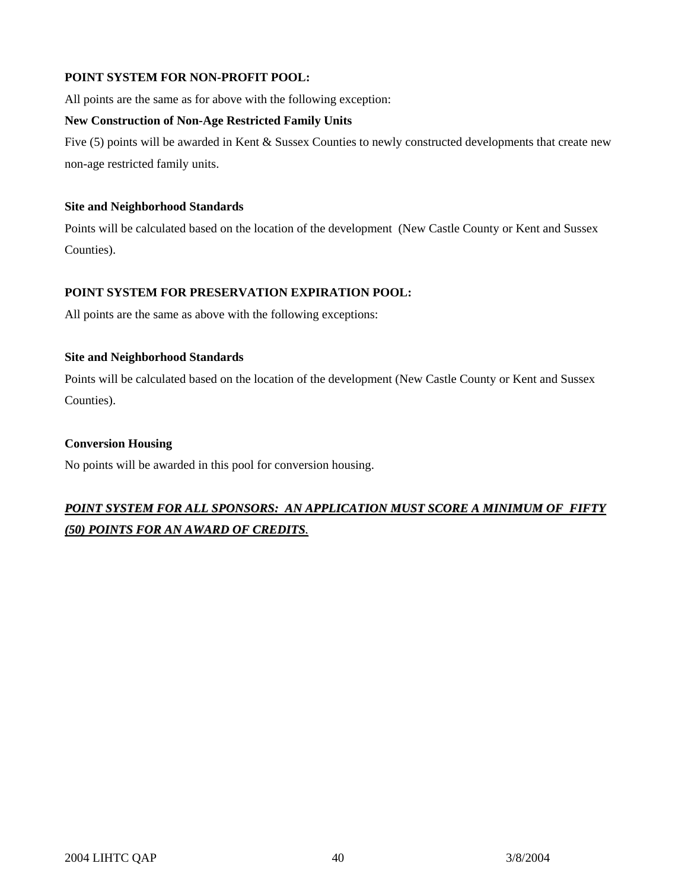# **POINT SYSTEM FOR NON-PROFIT POOL:**

All points are the same as for above with the following exception:

# **New Construction of Non-Age Restricted Family Units**

Five (5) points will be awarded in Kent & Sussex Counties to newly constructed developments that create new non-age restricted family units.

# **Site and Neighborhood Standards**

Points will be calculated based on the location of the development (New Castle County or Kent and Sussex Counties).

# **POINT SYSTEM FOR PRESERVATION EXPIRATION POOL:**

All points are the same as above with the following exceptions:

# **Site and Neighborhood Standards**

Points will be calculated based on the location of the development (New Castle County or Kent and Sussex Counties).

# **Conversion Housing**

No points will be awarded in this pool for conversion housing.

# *POINT SYSTEM FOR ALL SPONSORS: AN APPLICATION MUST SCORE A MINIMUM OF FIFTY (50) POINTS FOR AN AWARD OF CREDITS.*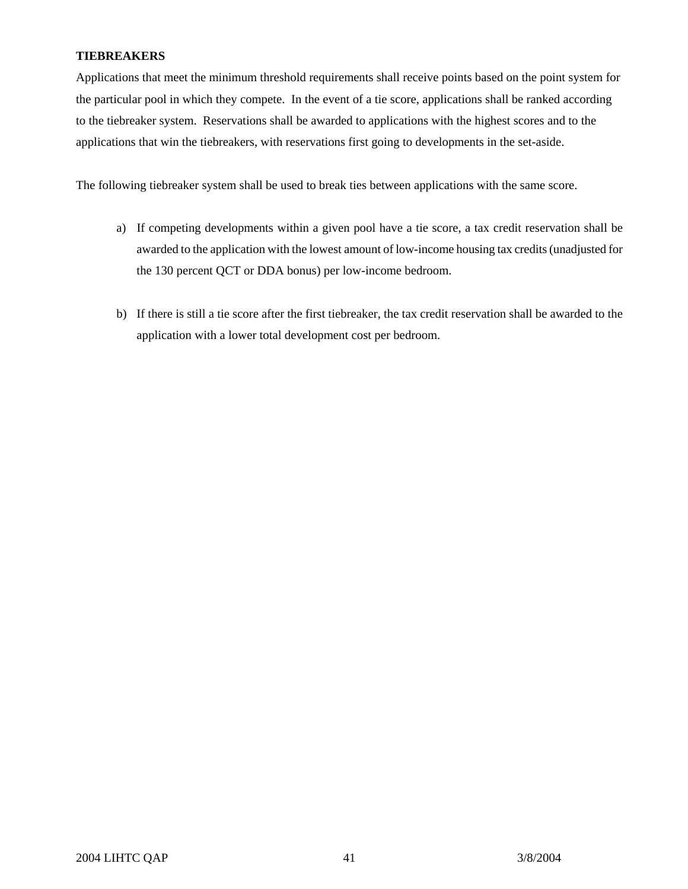# **TIEBREAKERS**

Applications that meet the minimum threshold requirements shall receive points based on the point system for the particular pool in which they compete. In the event of a tie score, applications shall be ranked according to the tiebreaker system. Reservations shall be awarded to applications with the highest scores and to the applications that win the tiebreakers, with reservations first going to developments in the set-aside.

The following tiebreaker system shall be used to break ties between applications with the same score.

- a) If competing developments within a given pool have a tie score, a tax credit reservation shall be awarded to the application with the lowest amount of low-income housing tax credits (unadjusted for the 130 percent QCT or DDA bonus) per low-income bedroom.
- b) If there is still a tie score after the first tiebreaker, the tax credit reservation shall be awarded to the application with a lower total development cost per bedroom.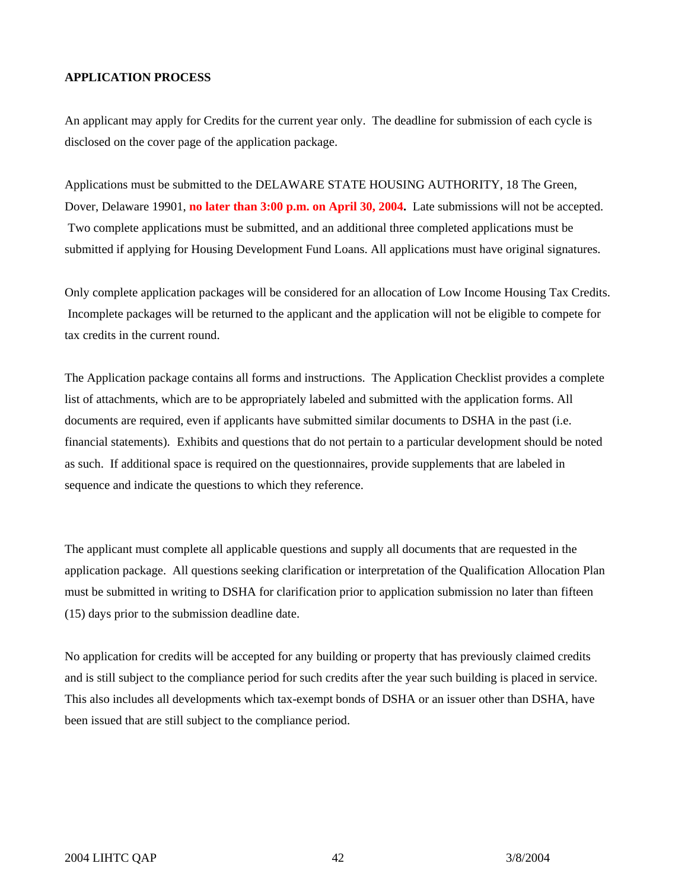# **APPLICATION PROCESS**

An applicant may apply for Credits for the current year only. The deadline for submission of each cycle is disclosed on the cover page of the application package.

Applications must be submitted to the DELAWARE STATE HOUSING AUTHORITY, 18 The Green, Dover, Delaware 19901, **no later than 3:00 p.m. on April 30, 2004.** Late submissions will not be accepted. Two complete applications must be submitted, and an additional three completed applications must be submitted if applying for Housing Development Fund Loans. All applications must have original signatures.

Only complete application packages will be considered for an allocation of Low Income Housing Tax Credits. Incomplete packages will be returned to the applicant and the application will not be eligible to compete for tax credits in the current round.

The Application package contains all forms and instructions. The Application Checklist provides a complete list of attachments, which are to be appropriately labeled and submitted with the application forms. All documents are required, even if applicants have submitted similar documents to DSHA in the past (i.e. financial statements). Exhibits and questions that do not pertain to a particular development should be noted as such. If additional space is required on the questionnaires, provide supplements that are labeled in sequence and indicate the questions to which they reference.

The applicant must complete all applicable questions and supply all documents that are requested in the application package. All questions seeking clarification or interpretation of the Qualification Allocation Plan must be submitted in writing to DSHA for clarification prior to application submission no later than fifteen (15) days prior to the submission deadline date.

No application for credits will be accepted for any building or property that has previously claimed credits and is still subject to the compliance period for such credits after the year such building is placed in service. This also includes all developments which tax-exempt bonds of DSHA or an issuer other than DSHA, have been issued that are still subject to the compliance period.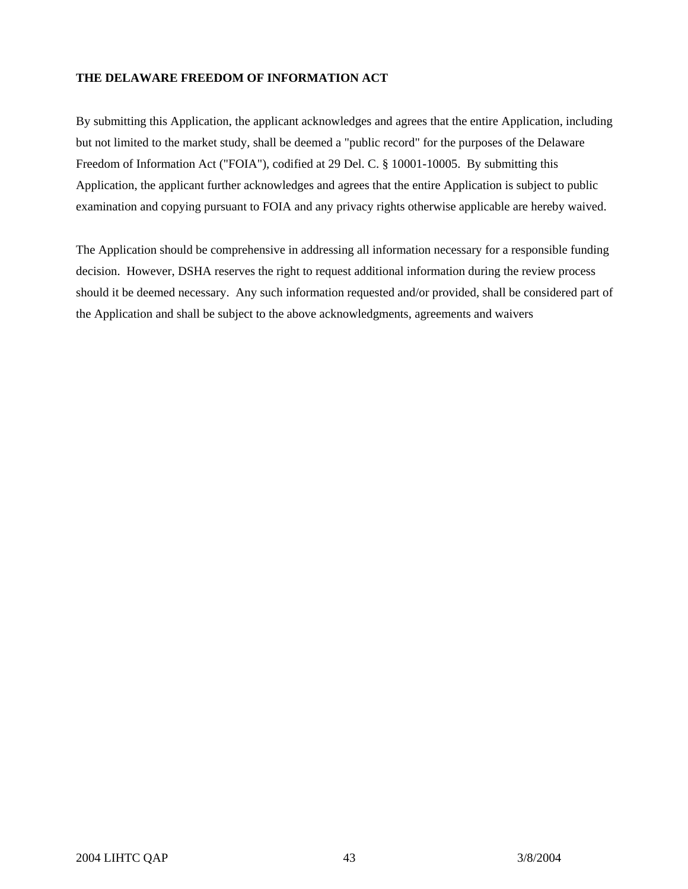# **THE DELAWARE FREEDOM OF INFORMATION ACT**

By submitting this Application, the applicant acknowledges and agrees that the entire Application, including but not limited to the market study, shall be deemed a "public record" for the purposes of the Delaware Freedom of Information Act ("FOIA"), codified at 29 Del. C. § 10001-10005. By submitting this Application, the applicant further acknowledges and agrees that the entire Application is subject to public examination and copying pursuant to FOIA and any privacy rights otherwise applicable are hereby waived.

The Application should be comprehensive in addressing all information necessary for a responsible funding decision. However, DSHA reserves the right to request additional information during the review process should it be deemed necessary. Any such information requested and/or provided, shall be considered part of the Application and shall be subject to the above acknowledgments, agreements and waivers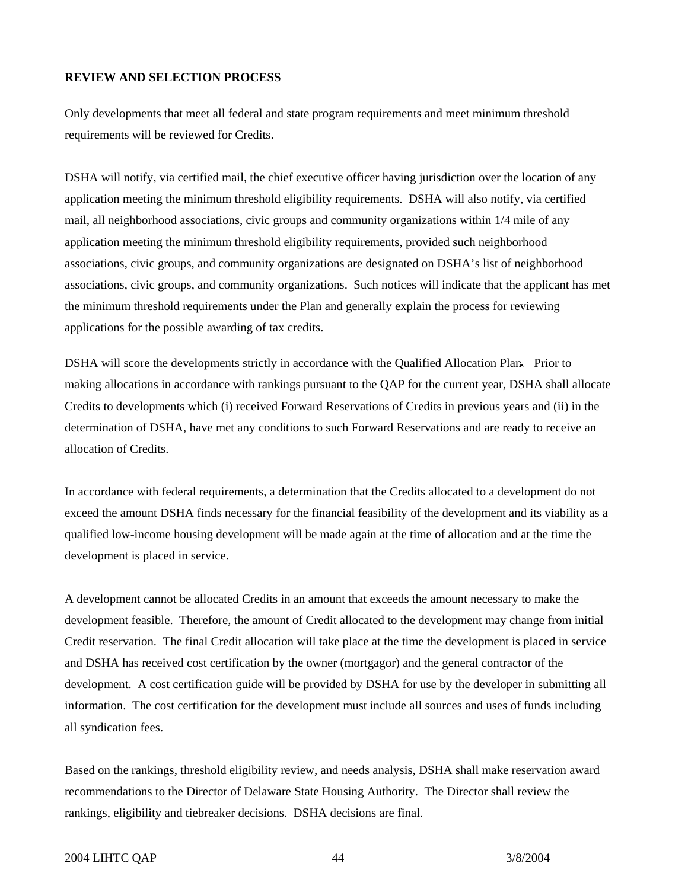#### **REVIEW AND SELECTION PROCESS**

Only developments that meet all federal and state program requirements and meet minimum threshold requirements will be reviewed for Credits.

DSHA will notify, via certified mail, the chief executive officer having jurisdiction over the location of any application meeting the minimum threshold eligibility requirements. DSHA will also notify, via certified mail, all neighborhood associations, civic groups and community organizations within 1/4 mile of any application meeting the minimum threshold eligibility requirements, provided such neighborhood associations, civic groups, and community organizations are designated on DSHA's list of neighborhood associations, civic groups, and community organizations. Such notices will indicate that the applicant has met the minimum threshold requirements under the Plan and generally explain the process for reviewing applications for the possible awarding of tax credits.

DSHA will score the developments strictly in accordance with the Qualified Allocation Plan. Prior to making allocations in accordance with rankings pursuant to the QAP for the current year, DSHA shall allocate Credits to developments which (i) received Forward Reservations of Credits in previous years and (ii) in the determination of DSHA, have met any conditions to such Forward Reservations and are ready to receive an allocation of Credits.

In accordance with federal requirements, a determination that the Credits allocated to a development do not exceed the amount DSHA finds necessary for the financial feasibility of the development and its viability as a qualified low-income housing development will be made again at the time of allocation and at the time the development is placed in service.

A development cannot be allocated Credits in an amount that exceeds the amount necessary to make the development feasible. Therefore, the amount of Credit allocated to the development may change from initial Credit reservation. The final Credit allocation will take place at the time the development is placed in service and DSHA has received cost certification by the owner (mortgagor) and the general contractor of the development. A cost certification guide will be provided by DSHA for use by the developer in submitting all information. The cost certification for the development must include all sources and uses of funds including all syndication fees.

Based on the rankings, threshold eligibility review, and needs analysis, DSHA shall make reservation award recommendations to the Director of Delaware State Housing Authority. The Director shall review the rankings, eligibility and tiebreaker decisions. DSHA decisions are final.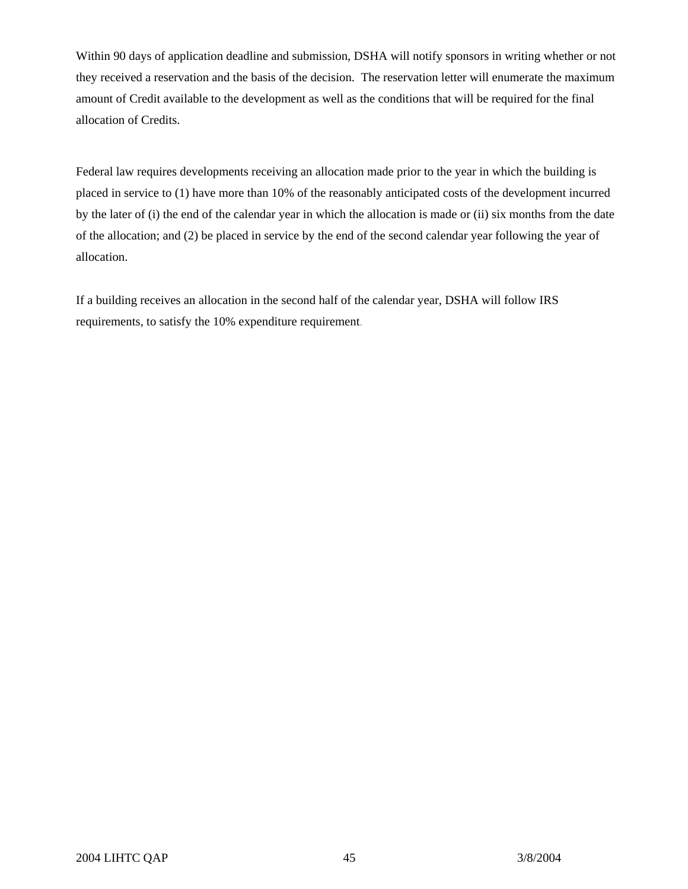Within 90 days of application deadline and submission, DSHA will notify sponsors in writing whether or not they received a reservation and the basis of the decision. The reservation letter will enumerate the maximum amount of Credit available to the development as well as the conditions that will be required for the final allocation of Credits.

Federal law requires developments receiving an allocation made prior to the year in which the building is placed in service to (1) have more than 10% of the reasonably anticipated costs of the development incurred by the later of (i) the end of the calendar year in which the allocation is made or (ii) six months from the date of the allocation; and (2) be placed in service by the end of the second calendar year following the year of allocation.

If a building receives an allocation in the second half of the calendar year, DSHA will follow IRS requirements, to satisfy the 10% expenditure requirement.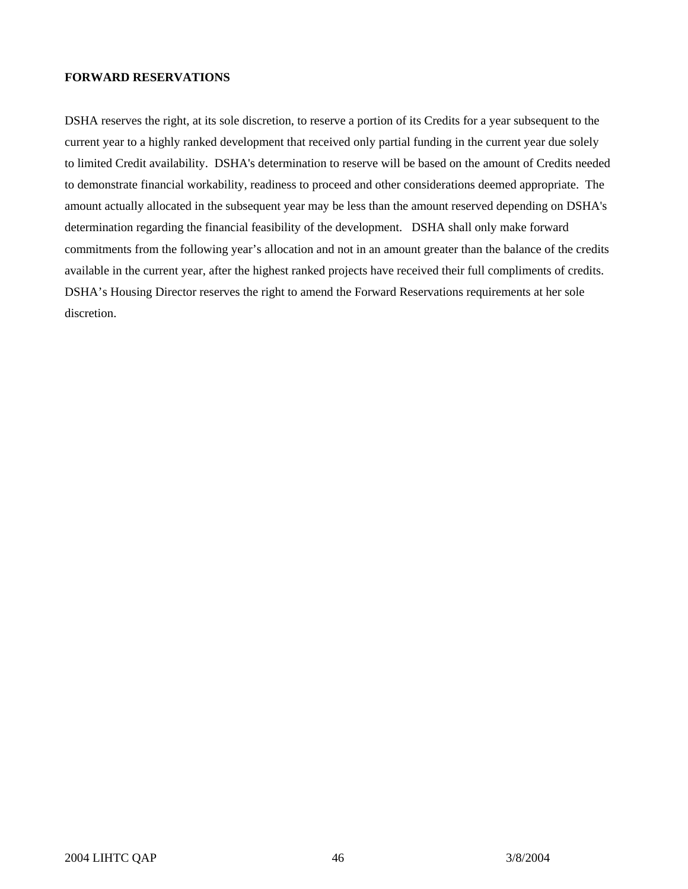# **FORWARD RESERVATIONS**

DSHA reserves the right, at its sole discretion, to reserve a portion of its Credits for a year subsequent to the current year to a highly ranked development that received only partial funding in the current year due solely to limited Credit availability. DSHA's determination to reserve will be based on the amount of Credits needed to demonstrate financial workability, readiness to proceed and other considerations deemed appropriate. The amount actually allocated in the subsequent year may be less than the amount reserved depending on DSHA's determination regarding the financial feasibility of the development. DSHA shall only make forward commitments from the following year's allocation and not in an amount greater than the balance of the credits available in the current year, after the highest ranked projects have received their full compliments of credits. DSHA's Housing Director reserves the right to amend the Forward Reservations requirements at her sole discretion.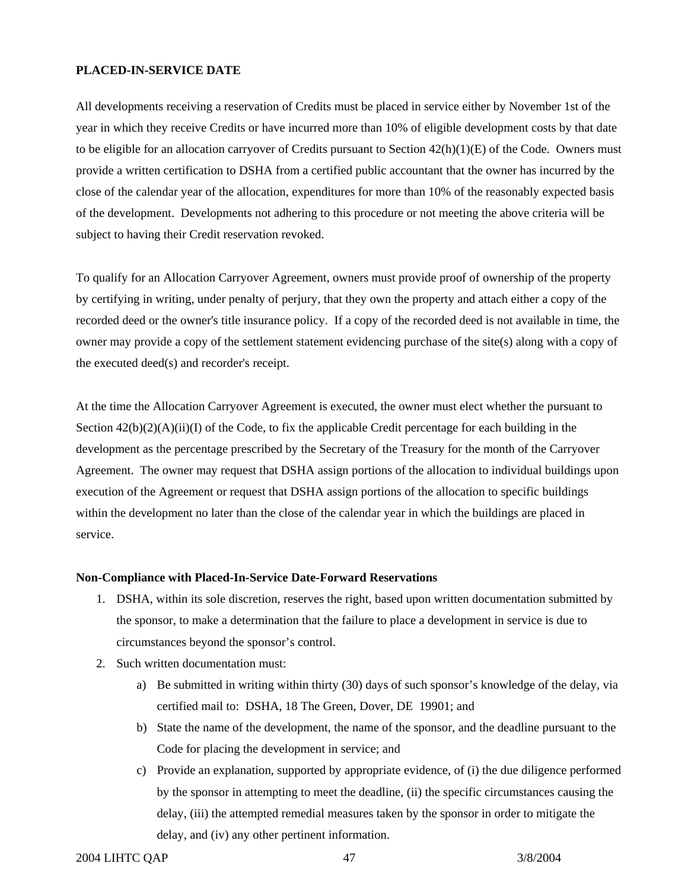#### **PLACED-IN-SERVICE DATE**

All developments receiving a reservation of Credits must be placed in service either by November 1st of the year in which they receive Credits or have incurred more than 10% of eligible development costs by that date to be eligible for an allocation carryover of Credits pursuant to Section  $42(h)(1)(E)$  of the Code. Owners must provide a written certification to DSHA from a certified public accountant that the owner has incurred by the close of the calendar year of the allocation, expenditures for more than 10% of the reasonably expected basis of the development. Developments not adhering to this procedure or not meeting the above criteria will be subject to having their Credit reservation revoked.

To qualify for an Allocation Carryover Agreement, owners must provide proof of ownership of the property by certifying in writing, under penalty of perjury, that they own the property and attach either a copy of the recorded deed or the owner's title insurance policy. If a copy of the recorded deed is not available in time, the owner may provide a copy of the settlement statement evidencing purchase of the site(s) along with a copy of the executed deed(s) and recorder's receipt.

At the time the Allocation Carryover Agreement is executed, the owner must elect whether the pursuant to Section  $42(b)(2)(A)(ii)(I)$  of the Code, to fix the applicable Credit percentage for each building in the development as the percentage prescribed by the Secretary of the Treasury for the month of the Carryover Agreement. The owner may request that DSHA assign portions of the allocation to individual buildings upon execution of the Agreement or request that DSHA assign portions of the allocation to specific buildings within the development no later than the close of the calendar year in which the buildings are placed in service.

#### **Non-Compliance with Placed-In-Service Date-Forward Reservations**

- 1. DSHA, within its sole discretion, reserves the right, based upon written documentation submitted by the sponsor, to make a determination that the failure to place a development in service is due to circumstances beyond the sponsor's control.
- 2. Such written documentation must:
	- a) Be submitted in writing within thirty (30) days of such sponsor's knowledge of the delay, via certified mail to: DSHA, 18 The Green, Dover, DE 19901; and
	- b) State the name of the development, the name of the sponsor, and the deadline pursuant to the Code for placing the development in service; and
	- c) Provide an explanation, supported by appropriate evidence, of (i) the due diligence performed by the sponsor in attempting to meet the deadline, (ii) the specific circumstances causing the delay, (iii) the attempted remedial measures taken by the sponsor in order to mitigate the delay, and (iv) any other pertinent information.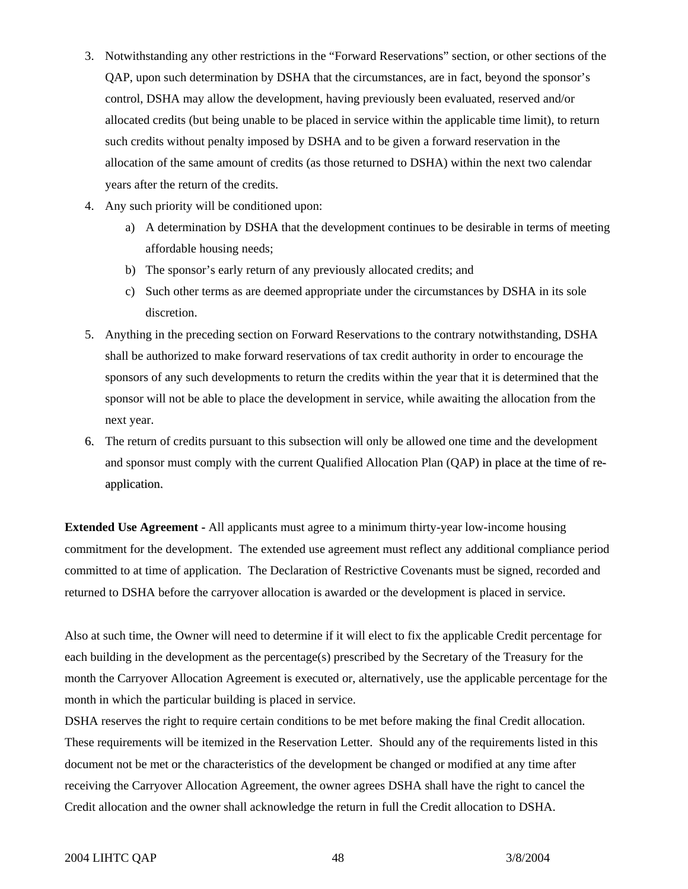- 3. Notwithstanding any other restrictions in the "Forward Reservations" section, or other sections of the QAP, upon such determination by DSHA that the circumstances, are in fact, beyond the sponsor's control, DSHA may allow the development, having previously been evaluated, reserved and/or allocated credits (but being unable to be placed in service within the applicable time limit), to return such credits without penalty imposed by DSHA and to be given a forward reservation in the allocation of the same amount of credits (as those returned to DSHA) within the next two calendar years after the return of the credits.
- 4. Any such priority will be conditioned upon:
	- a) A determination by DSHA that the development continues to be desirable in terms of meeting affordable housing needs;
	- b) The sponsor's early return of any previously allocated credits; and
	- c) Such other terms as are deemed appropriate under the circumstances by DSHA in its sole discretion.
- 5. Anything in the preceding section on Forward Reservations to the contrary notwithstanding, DSHA shall be authorized to make forward reservations of tax credit authority in order to encourage the sponsors of any such developments to return the credits within the year that it is determined that the sponsor will not be able to place the development in service, while awaiting the allocation from the next year.
- 6. The return of credits pursuant to this subsection will only be allowed one time and the development and sponsor must comply with the current Qualified Allocation Plan (QAP) in place at the time of reapplication.

**Extended Use Agreement -** All applicants must agree to a minimum thirty-year low-income housing commitment for the development. The extended use agreement must reflect any additional compliance period committed to at time of application. The Declaration of Restrictive Covenants must be signed, recorded and returned to DSHA before the carryover allocation is awarded or the development is placed in service.

Also at such time, the Owner will need to determine if it will elect to fix the applicable Credit percentage for each building in the development as the percentage(s) prescribed by the Secretary of the Treasury for the month the Carryover Allocation Agreement is executed or, alternatively, use the applicable percentage for the month in which the particular building is placed in service.

DSHA reserves the right to require certain conditions to be met before making the final Credit allocation. These requirements will be itemized in the Reservation Letter. Should any of the requirements listed in this document not be met or the characteristics of the development be changed or modified at any time after receiving the Carryover Allocation Agreement, the owner agrees DSHA shall have the right to cancel the Credit allocation and the owner shall acknowledge the return in full the Credit allocation to DSHA.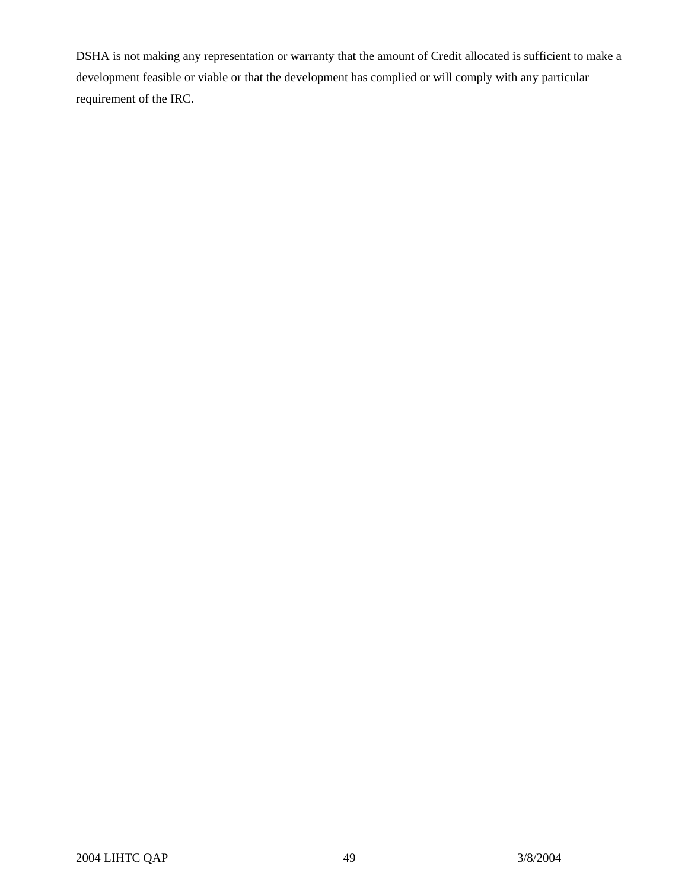DSHA is not making any representation or warranty that the amount of Credit allocated is sufficient to make a development feasible or viable or that the development has complied or will comply with any particular requirement of the IRC.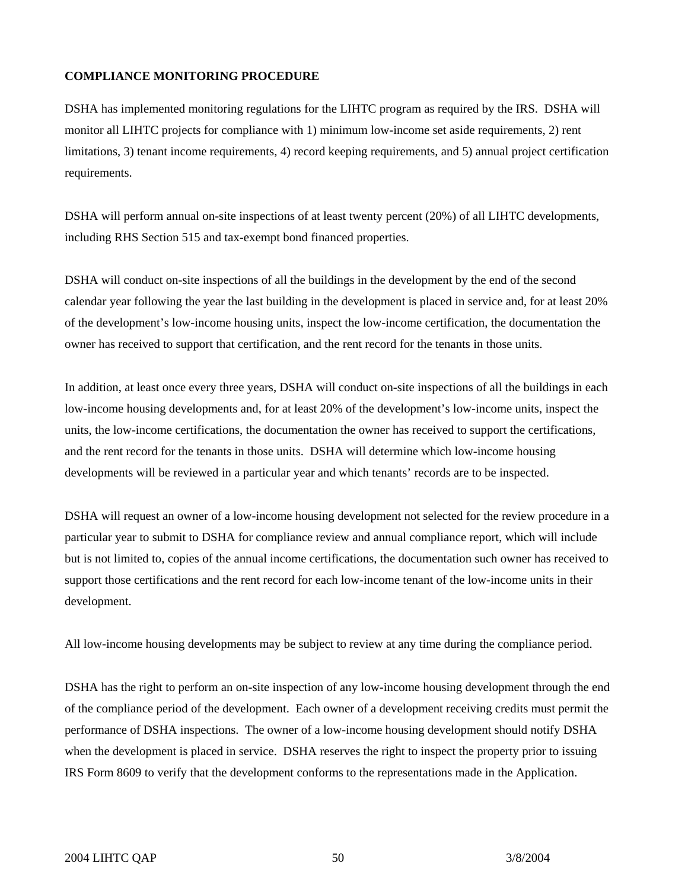#### **COMPLIANCE MONITORING PROCEDURE**

DSHA has implemented monitoring regulations for the LIHTC program as required by the IRS. DSHA will monitor all LIHTC projects for compliance with 1) minimum low-income set aside requirements, 2) rent limitations, 3) tenant income requirements, 4) record keeping requirements, and 5) annual project certification requirements.

DSHA will perform annual on-site inspections of at least twenty percent (20%) of all LIHTC developments, including RHS Section 515 and tax-exempt bond financed properties.

DSHA will conduct on-site inspections of all the buildings in the development by the end of the second calendar year following the year the last building in the development is placed in service and, for at least 20% of the development's low-income housing units, inspect the low-income certification, the documentation the owner has received to support that certification, and the rent record for the tenants in those units.

In addition, at least once every three years, DSHA will conduct on-site inspections of all the buildings in each low-income housing developments and, for at least 20% of the development's low-income units, inspect the units, the low-income certifications, the documentation the owner has received to support the certifications, and the rent record for the tenants in those units. DSHA will determine which low-income housing developments will be reviewed in a particular year and which tenants' records are to be inspected.

DSHA will request an owner of a low-income housing development not selected for the review procedure in a particular year to submit to DSHA for compliance review and annual compliance report, which will include but is not limited to, copies of the annual income certifications, the documentation such owner has received to support those certifications and the rent record for each low-income tenant of the low-income units in their development.

All low-income housing developments may be subject to review at any time during the compliance period.

DSHA has the right to perform an on-site inspection of any low-income housing development through the end of the compliance period of the development. Each owner of a development receiving credits must permit the performance of DSHA inspections. The owner of a low-income housing development should notify DSHA when the development is placed in service. DSHA reserves the right to inspect the property prior to issuing IRS Form 8609 to verify that the development conforms to the representations made in the Application.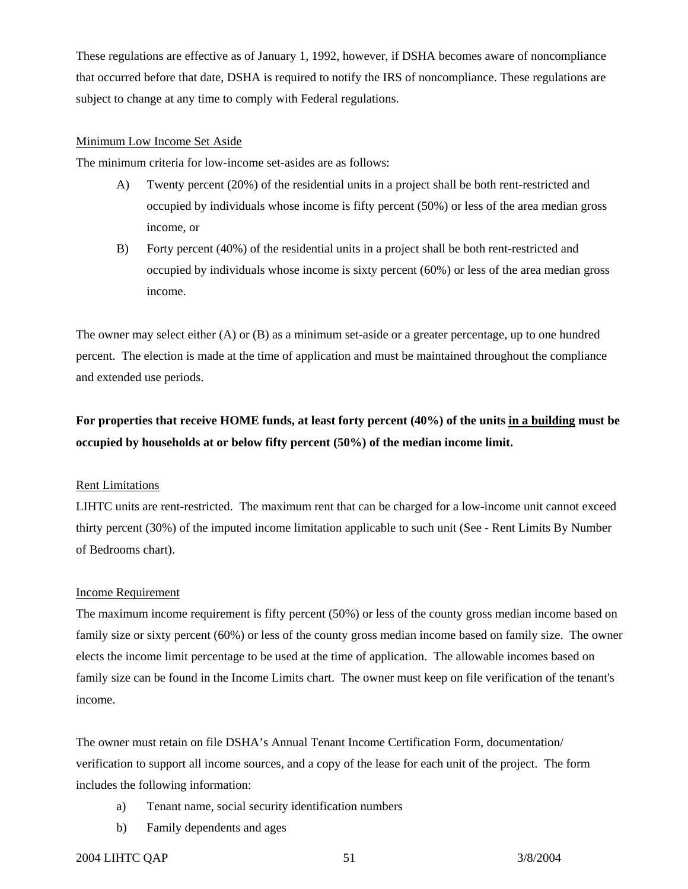These regulations are effective as of January 1, 1992, however, if DSHA becomes aware of noncompliance that occurred before that date, DSHA is required to notify the IRS of noncompliance. These regulations are subject to change at any time to comply with Federal regulations.

# Minimum Low Income Set Aside

The minimum criteria for low-income set-asides are as follows:

- A) Twenty percent (20%) of the residential units in a project shall be both rent-restricted and occupied by individuals whose income is fifty percent (50%) or less of the area median gross income, or
- B) Forty percent (40%) of the residential units in a project shall be both rent-restricted and occupied by individuals whose income is sixty percent (60%) or less of the area median gross income.

The owner may select either (A) or (B) as a minimum set-aside or a greater percentage, up to one hundred percent. The election is made at the time of application and must be maintained throughout the compliance and extended use periods.

# **For properties that receive HOME funds, at least forty percent (40%) of the units in a building must be occupied by households at or below fifty percent (50%) of the median income limit.**

#### Rent Limitations

LIHTC units are rent-restricted. The maximum rent that can be charged for a low-income unit cannot exceed thirty percent (30%) of the imputed income limitation applicable to such unit (See - Rent Limits By Number of Bedrooms chart).

#### Income Requirement

The maximum income requirement is fifty percent (50%) or less of the county gross median income based on family size or sixty percent (60%) or less of the county gross median income based on family size. The owner elects the income limit percentage to be used at the time of application. The allowable incomes based on family size can be found in the Income Limits chart. The owner must keep on file verification of the tenant's income.

The owner must retain on file DSHA's Annual Tenant Income Certification Form, documentation/ verification to support all income sources, and a copy of the lease for each unit of the project. The form includes the following information:

- a) Tenant name, social security identification numbers
- b) Family dependents and ages

#### 2004 LIHTC QAP 51 3/8/2004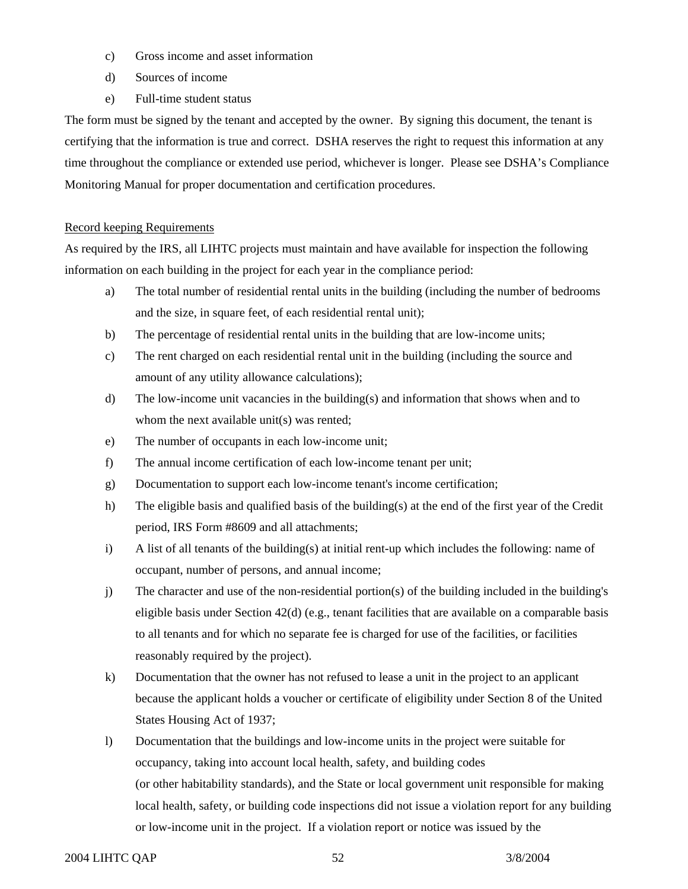- c) Gross income and asset information
- d) Sources of income
- e) Full-time student status

The form must be signed by the tenant and accepted by the owner. By signing this document, the tenant is certifying that the information is true and correct. DSHA reserves the right to request this information at any time throughout the compliance or extended use period, whichever is longer. Please see DSHA's Compliance Monitoring Manual for proper documentation and certification procedures.

#### Record keeping Requirements

As required by the IRS, all LIHTC projects must maintain and have available for inspection the following information on each building in the project for each year in the compliance period:

- a) The total number of residential rental units in the building (including the number of bedrooms and the size, in square feet, of each residential rental unit);
- b) The percentage of residential rental units in the building that are low-income units;
- c) The rent charged on each residential rental unit in the building (including the source and amount of any utility allowance calculations);
- d) The low-income unit vacancies in the building(s) and information that shows when and to whom the next available unit(s) was rented;
- e) The number of occupants in each low-income unit;
- f) The annual income certification of each low-income tenant per unit;
- g) Documentation to support each low-income tenant's income certification;
- h) The eligible basis and qualified basis of the building(s) at the end of the first year of the Credit period, IRS Form #8609 and all attachments;
- i) A list of all tenants of the building(s) at initial rent-up which includes the following: name of occupant, number of persons, and annual income;
- j) The character and use of the non-residential portion(s) of the building included in the building's eligible basis under Section  $42(d)$  (e.g., tenant facilities that are available on a comparable basis to all tenants and for which no separate fee is charged for use of the facilities, or facilities reasonably required by the project).
- k) Documentation that the owner has not refused to lease a unit in the project to an applicant because the applicant holds a voucher or certificate of eligibility under Section 8 of the United States Housing Act of 1937;
- l) Documentation that the buildings and low-income units in the project were suitable for occupancy, taking into account local health, safety, and building codes (or other habitability standards), and the State or local government unit responsible for making local health, safety, or building code inspections did not issue a violation report for any building or low-income unit in the project. If a violation report or notice was issued by the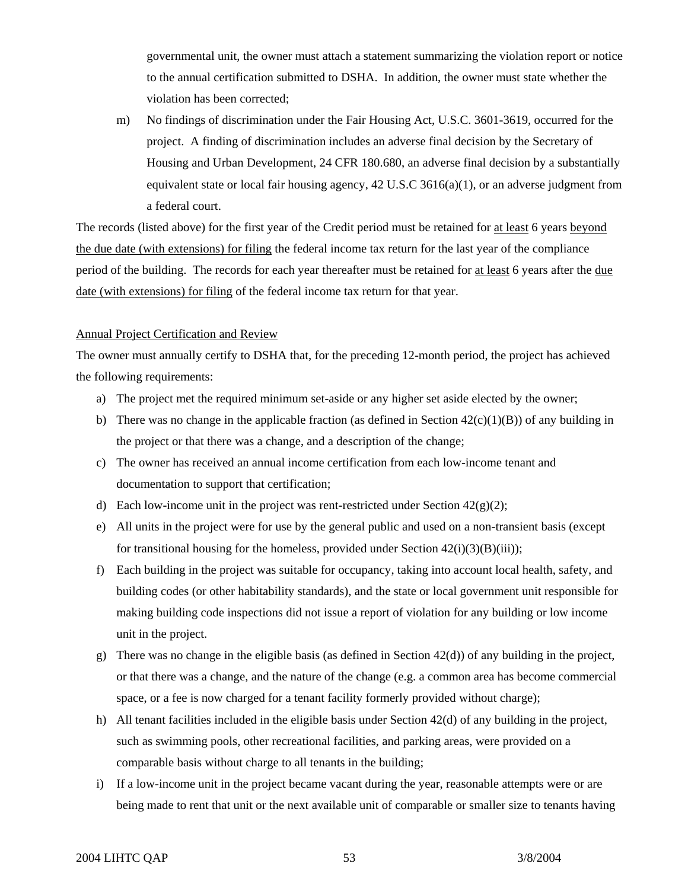governmental unit, the owner must attach a statement summarizing the violation report or notice to the annual certification submitted to DSHA. In addition, the owner must state whether the violation has been corrected;

m) No findings of discrimination under the Fair Housing Act, U.S.C. 3601-3619, occurred for the project. A finding of discrimination includes an adverse final decision by the Secretary of Housing and Urban Development, 24 CFR 180.680, an adverse final decision by a substantially equivalent state or local fair housing agency, 42 U.S.C 3616(a)(1), or an adverse judgment from a federal court.

The records (listed above) for the first year of the Credit period must be retained for at least 6 years beyond the due date (with extensions) for filing the federal income tax return for the last year of the compliance period of the building. The records for each year thereafter must be retained for at least 6 years after the due date (with extensions) for filing of the federal income tax return for that year.

#### Annual Project Certification and Review

The owner must annually certify to DSHA that, for the preceding 12-month period, the project has achieved the following requirements:

- a) The project met the required minimum set-aside or any higher set aside elected by the owner;
- b) There was no change in the applicable fraction (as defined in Section  $42(c)(1)(B)$ ) of any building in the project or that there was a change, and a description of the change;
- c) The owner has received an annual income certification from each low-income tenant and documentation to support that certification;
- d) Each low-income unit in the project was rent-restricted under Section  $42(g)(2)$ ;
- e) All units in the project were for use by the general public and used on a non-transient basis (except for transitional housing for the homeless, provided under Section  $42(i)(3)(B(iii))$ ;
- f) Each building in the project was suitable for occupancy, taking into account local health, safety, and building codes (or other habitability standards), and the state or local government unit responsible for making building code inspections did not issue a report of violation for any building or low income unit in the project.
- g) There was no change in the eligible basis (as defined in Section  $42(d)$ ) of any building in the project, or that there was a change, and the nature of the change (e.g. a common area has become commercial space, or a fee is now charged for a tenant facility formerly provided without charge);
- h) All tenant facilities included in the eligible basis under Section 42(d) of any building in the project, such as swimming pools, other recreational facilities, and parking areas, were provided on a comparable basis without charge to all tenants in the building;
- i) If a low-income unit in the project became vacant during the year, reasonable attempts were or are being made to rent that unit or the next available unit of comparable or smaller size to tenants having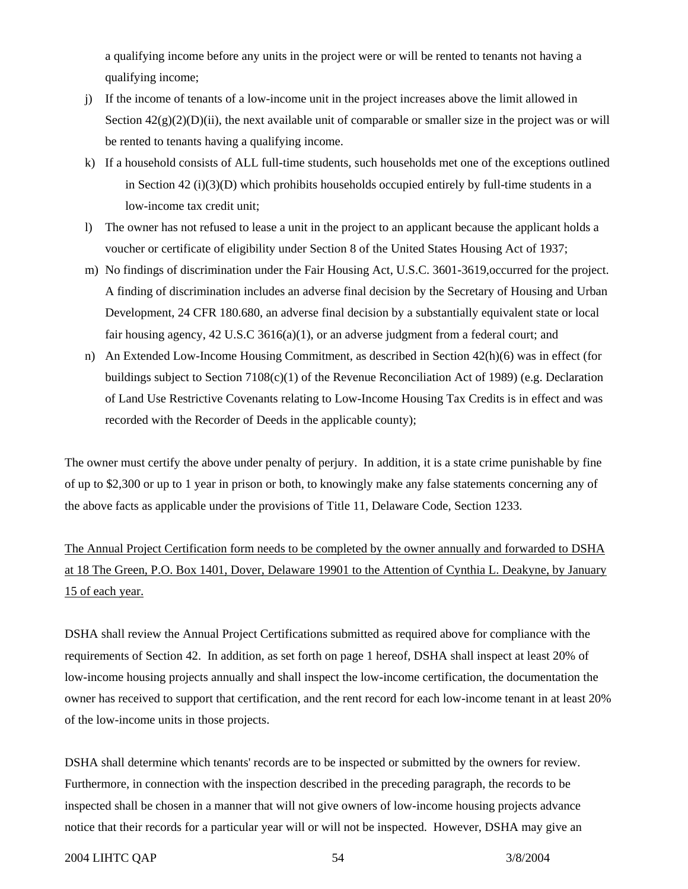a qualifying income before any units in the project were or will be rented to tenants not having a qualifying income;

- j) If the income of tenants of a low-income unit in the project increases above the limit allowed in Section  $42(g)(2)(D)(ii)$ , the next available unit of comparable or smaller size in the project was or will be rented to tenants having a qualifying income.
- k) If a household consists of ALL full-time students, such households met one of the exceptions outlined in Section 42 (i)(3)(D) which prohibits households occupied entirely by full-time students in a low-income tax credit unit;
- l) The owner has not refused to lease a unit in the project to an applicant because the applicant holds a voucher or certificate of eligibility under Section 8 of the United States Housing Act of 1937;
- m) No findings of discrimination under the Fair Housing Act, U.S.C. 3601-3619,occurred for the project. A finding of discrimination includes an adverse final decision by the Secretary of Housing and Urban Development, 24 CFR 180.680, an adverse final decision by a substantially equivalent state or local fair housing agency, 42 U.S.C 3616(a)(1), or an adverse judgment from a federal court; and
- n) An Extended Low-Income Housing Commitment, as described in Section 42(h)(6) was in effect (for buildings subject to Section 7108(c)(1) of the Revenue Reconciliation Act of 1989) (e.g. Declaration of Land Use Restrictive Covenants relating to Low-Income Housing Tax Credits is in effect and was recorded with the Recorder of Deeds in the applicable county);

The owner must certify the above under penalty of perjury. In addition, it is a state crime punishable by fine of up to \$2,300 or up to 1 year in prison or both, to knowingly make any false statements concerning any of the above facts as applicable under the provisions of Title 11, Delaware Code, Section 1233.

The Annual Project Certification form needs to be completed by the owner annually and forwarded to DSHA at 18 The Green, P.O. Box 1401, Dover, Delaware 19901 to the Attention of Cynthia L. Deakyne, by January 15 of each year.

DSHA shall review the Annual Project Certifications submitted as required above for compliance with the requirements of Section 42. In addition, as set forth on page 1 hereof, DSHA shall inspect at least 20% of low-income housing projects annually and shall inspect the low-income certification, the documentation the owner has received to support that certification, and the rent record for each low-income tenant in at least 20% of the low-income units in those projects.

DSHA shall determine which tenants' records are to be inspected or submitted by the owners for review. Furthermore, in connection with the inspection described in the preceding paragraph, the records to be inspected shall be chosen in a manner that will not give owners of low-income housing projects advance notice that their records for a particular year will or will not be inspected. However, DSHA may give an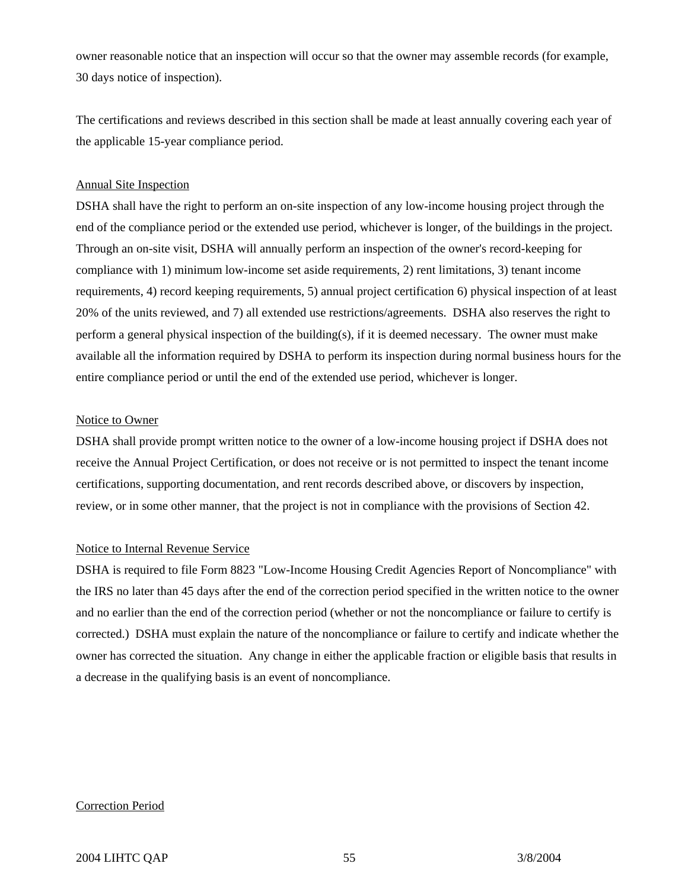owner reasonable notice that an inspection will occur so that the owner may assemble records (for example, 30 days notice of inspection).

The certifications and reviews described in this section shall be made at least annually covering each year of the applicable 15-year compliance period.

#### Annual Site Inspection

DSHA shall have the right to perform an on-site inspection of any low-income housing project through the end of the compliance period or the extended use period, whichever is longer, of the buildings in the project. Through an on-site visit, DSHA will annually perform an inspection of the owner's record-keeping for compliance with 1) minimum low-income set aside requirements, 2) rent limitations, 3) tenant income requirements, 4) record keeping requirements, 5) annual project certification 6) physical inspection of at least 20% of the units reviewed, and 7) all extended use restrictions/agreements. DSHA also reserves the right to perform a general physical inspection of the building(s), if it is deemed necessary. The owner must make available all the information required by DSHA to perform its inspection during normal business hours for the entire compliance period or until the end of the extended use period, whichever is longer.

#### Notice to Owner

DSHA shall provide prompt written notice to the owner of a low-income housing project if DSHA does not receive the Annual Project Certification, or does not receive or is not permitted to inspect the tenant income certifications, supporting documentation, and rent records described above, or discovers by inspection, review, or in some other manner, that the project is not in compliance with the provisions of Section 42.

#### Notice to Internal Revenue Service

DSHA is required to file Form 8823 "Low-Income Housing Credit Agencies Report of Noncompliance" with the IRS no later than 45 days after the end of the correction period specified in the written notice to the owner and no earlier than the end of the correction period (whether or not the noncompliance or failure to certify is corrected.) DSHA must explain the nature of the noncompliance or failure to certify and indicate whether the owner has corrected the situation. Any change in either the applicable fraction or eligible basis that results in a decrease in the qualifying basis is an event of noncompliance.

# Correction Period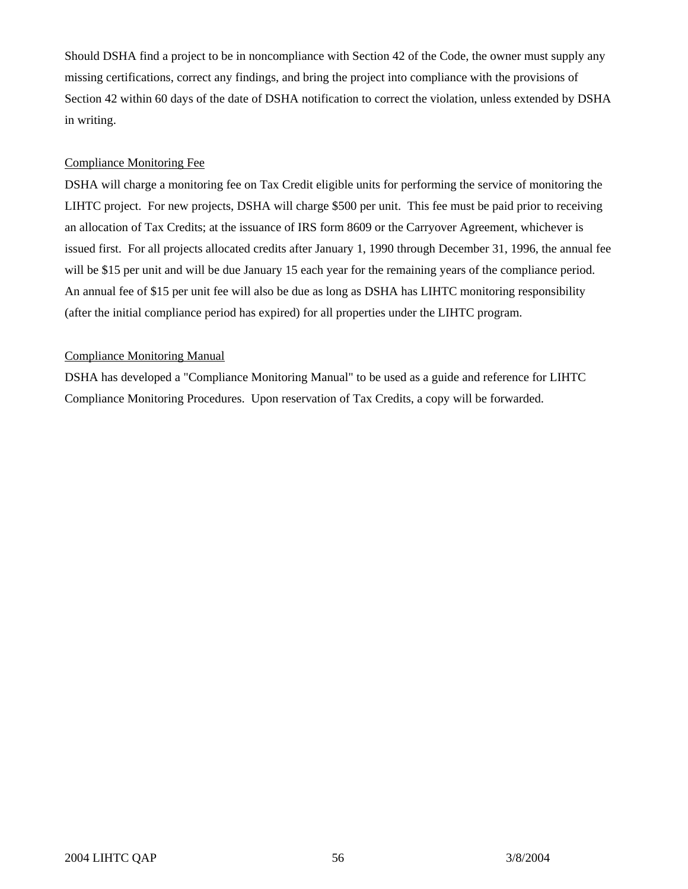Should DSHA find a project to be in noncompliance with Section 42 of the Code, the owner must supply any missing certifications, correct any findings, and bring the project into compliance with the provisions of Section 42 within 60 days of the date of DSHA notification to correct the violation, unless extended by DSHA in writing.

# Compliance Monitoring Fee

DSHA will charge a monitoring fee on Tax Credit eligible units for performing the service of monitoring the LIHTC project. For new projects, DSHA will charge \$500 per unit. This fee must be paid prior to receiving an allocation of Tax Credits; at the issuance of IRS form 8609 or the Carryover Agreement, whichever is issued first. For all projects allocated credits after January 1, 1990 through December 31, 1996, the annual fee will be \$15 per unit and will be due January 15 each year for the remaining years of the compliance period. An annual fee of \$15 per unit fee will also be due as long as DSHA has LIHTC monitoring responsibility (after the initial compliance period has expired) for all properties under the LIHTC program.

# Compliance Monitoring Manual

DSHA has developed a "Compliance Monitoring Manual" to be used as a guide and reference for LIHTC Compliance Monitoring Procedures. Upon reservation of Tax Credits, a copy will be forwarded.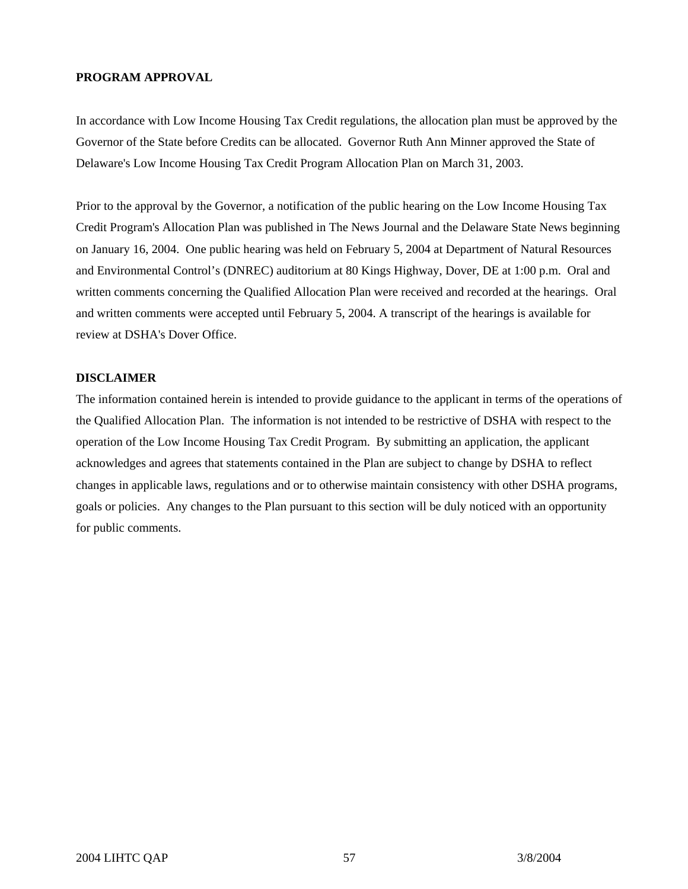# **PROGRAM APPROVAL**

In accordance with Low Income Housing Tax Credit regulations, the allocation plan must be approved by the Governor of the State before Credits can be allocated. Governor Ruth Ann Minner approved the State of Delaware's Low Income Housing Tax Credit Program Allocation Plan on March 31, 2003.

Prior to the approval by the Governor, a notification of the public hearing on the Low Income Housing Tax Credit Program's Allocation Plan was published in The News Journal and the Delaware State News beginning on January 16, 2004. One public hearing was held on February 5, 2004 at Department of Natural Resources and Environmental Control's (DNREC) auditorium at 80 Kings Highway, Dover, DE at 1:00 p.m. Oral and written comments concerning the Qualified Allocation Plan were received and recorded at the hearings. Oral and written comments were accepted until February 5, 2004. A transcript of the hearings is available for review at DSHA's Dover Office.

#### **DISCLAIMER**

The information contained herein is intended to provide guidance to the applicant in terms of the operations of the Qualified Allocation Plan. The information is not intended to be restrictive of DSHA with respect to the operation of the Low Income Housing Tax Credit Program. By submitting an application, the applicant acknowledges and agrees that statements contained in the Plan are subject to change by DSHA to reflect changes in applicable laws, regulations and or to otherwise maintain consistency with other DSHA programs, goals or policies. Any changes to the Plan pursuant to this section will be duly noticed with an opportunity for public comments.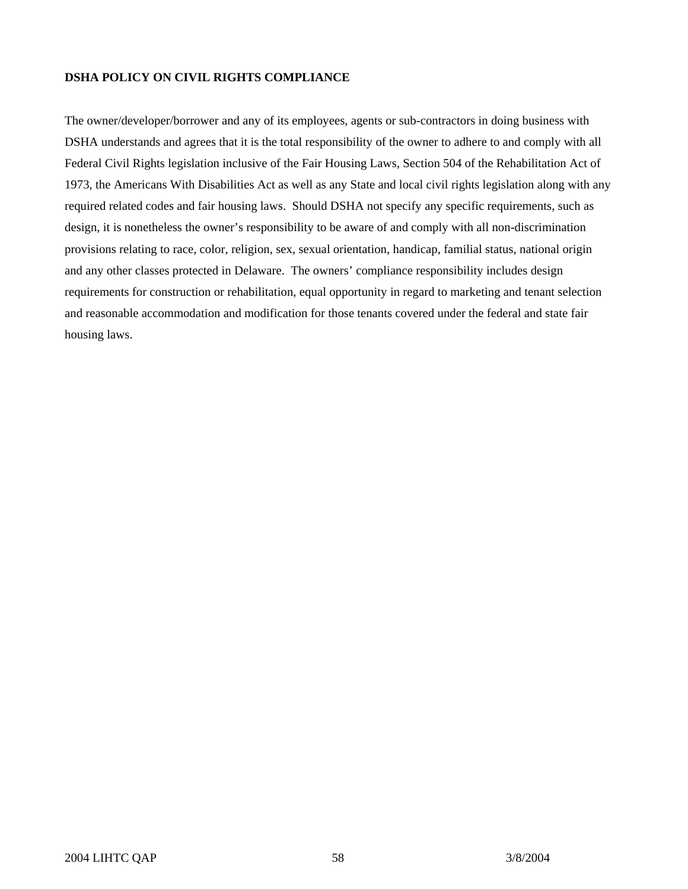# **DSHA POLICY ON CIVIL RIGHTS COMPLIANCE**

The owner/developer/borrower and any of its employees, agents or sub-contractors in doing business with DSHA understands and agrees that it is the total responsibility of the owner to adhere to and comply with all Federal Civil Rights legislation inclusive of the Fair Housing Laws, Section 504 of the Rehabilitation Act of 1973, the Americans With Disabilities Act as well as any State and local civil rights legislation along with any required related codes and fair housing laws. Should DSHA not specify any specific requirements, such as design, it is nonetheless the owner's responsibility to be aware of and comply with all non-discrimination provisions relating to race, color, religion, sex, sexual orientation, handicap, familial status, national origin and any other classes protected in Delaware. The owners' compliance responsibility includes design requirements for construction or rehabilitation, equal opportunity in regard to marketing and tenant selection and reasonable accommodation and modification for those tenants covered under the federal and state fair housing laws.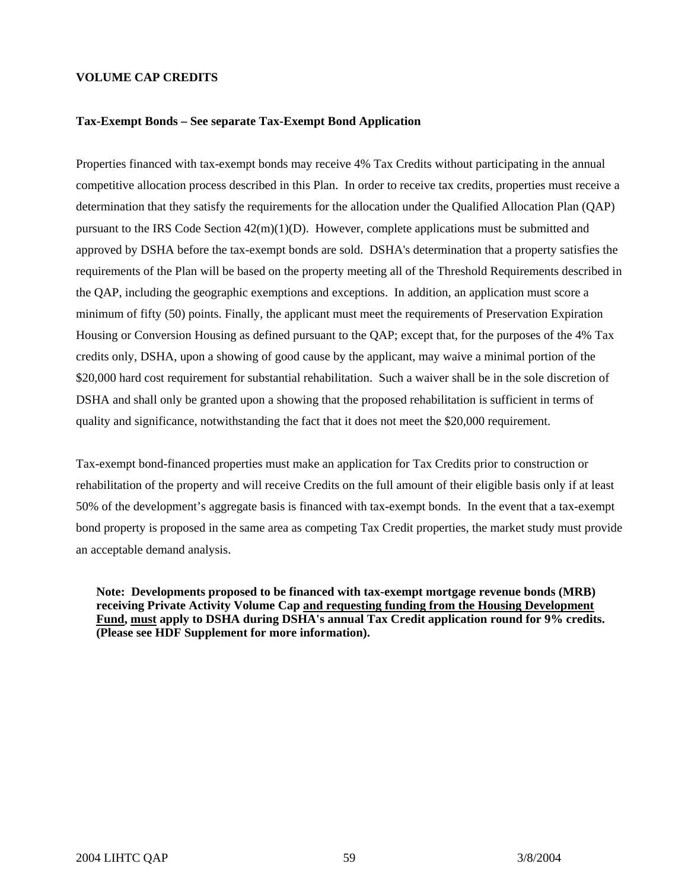#### **VOLUME CAP CREDITS**

#### **Tax-Exempt Bonds – See separate Tax-Exempt Bond Application**

Properties financed with tax-exempt bonds may receive 4% Tax Credits without participating in the annual competitive allocation process described in this Plan. In order to receive tax credits, properties must receive a determination that they satisfy the requirements for the allocation under the Qualified Allocation Plan (QAP) pursuant to the IRS Code Section  $42(m)(1)(D)$ . However, complete applications must be submitted and approved by DSHA before the tax-exempt bonds are sold. DSHA's determination that a property satisfies the requirements of the Plan will be based on the property meeting all of the Threshold Requirements described in the QAP, including the geographic exemptions and exceptions. In addition, an application must score a minimum of fifty (50) points. Finally, the applicant must meet the requirements of Preservation Expiration Housing or Conversion Housing as defined pursuant to the QAP; except that, for the purposes of the 4% Tax credits only, DSHA, upon a showing of good cause by the applicant, may waive a minimal portion of the \$20,000 hard cost requirement for substantial rehabilitation. Such a waiver shall be in the sole discretion of DSHA and shall only be granted upon a showing that the proposed rehabilitation is sufficient in terms of quality and significance, notwithstanding the fact that it does not meet the \$20,000 requirement.

Tax-exempt bond-financed properties must make an application for Tax Credits prior to construction or rehabilitation of the property and will receive Credits on the full amount of their eligible basis only if at least 50% of the development's aggregate basis is financed with tax-exempt bonds. In the event that a tax-exempt bond property is proposed in the same area as competing Tax Credit properties, the market study must provide an acceptable demand analysis.

**Note: Developments proposed to be financed with tax-exempt mortgage revenue bonds (MRB) receiving Private Activity Volume Cap and requesting funding from the Housing Development Fund, must apply to DSHA during DSHA's annual Tax Credit application round for 9% credits. (Please see HDF Supplement for more information).**